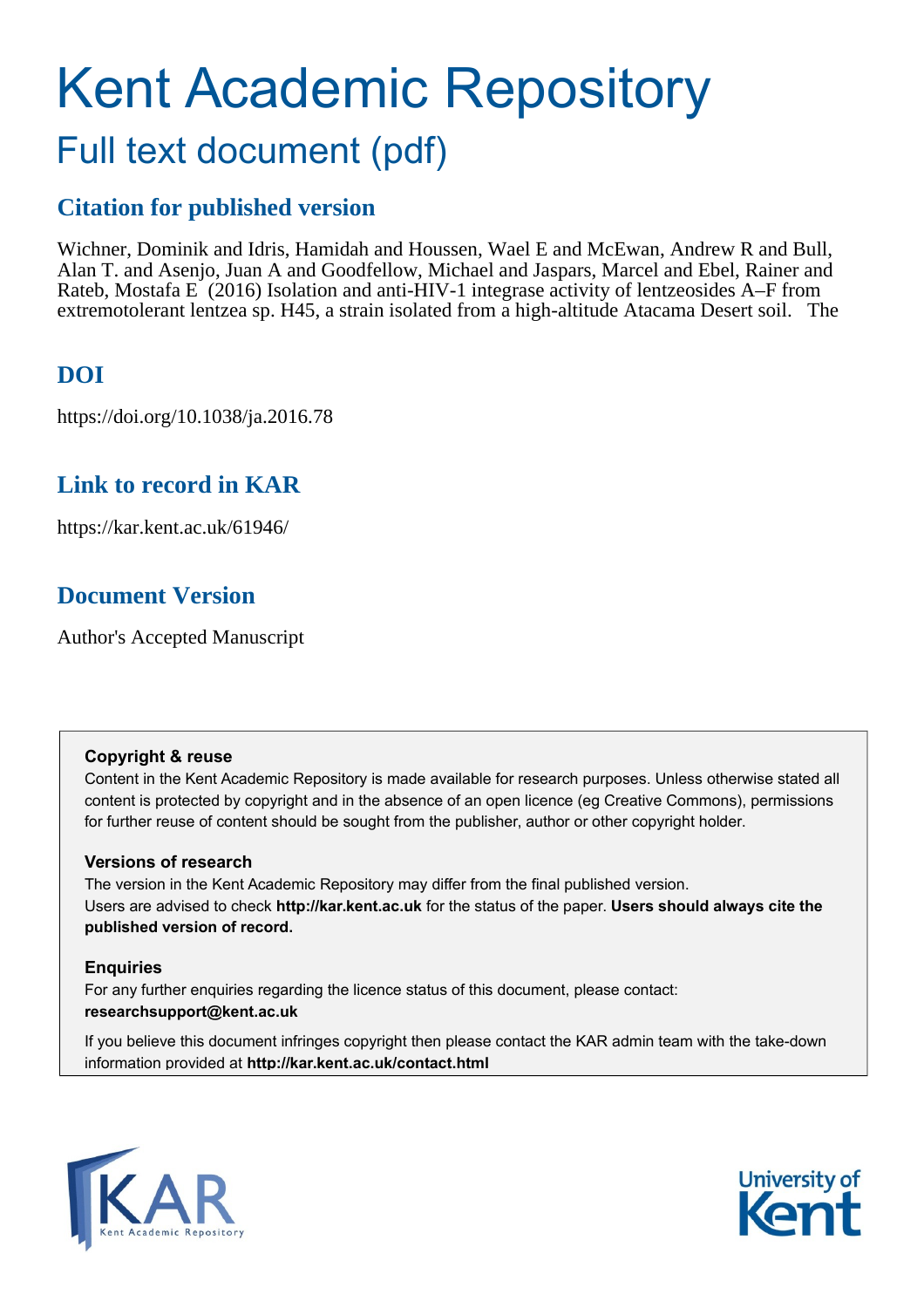# Kent Academic Repository Full text document (pdf)

## **Citation for published version**

Wichner, Dominik and Idris, Hamidah and Houssen, Wael E and McEwan, Andrew R and Bull, Alan T. and Asenjo, Juan A and Goodfellow, Michael and Jaspars, Marcel and Ebel, Rainer and Rateb, Mostafa E (2016) Isolation and anti-HIV-1 integrase activity of lentzeosides A–F from extremotolerant lentzea sp. H45, a strain isolated from a high-altitude Atacama Desert soil. The

# **DOI**

https://doi.org/10.1038/ja.2016.78

# **Link to record in KAR**

https://kar.kent.ac.uk/61946/

# **Document Version**

Author's Accepted Manuscript

## **Copyright & reuse**

Content in the Kent Academic Repository is made available for research purposes. Unless otherwise stated all content is protected by copyright and in the absence of an open licence (eg Creative Commons), permissions for further reuse of content should be sought from the publisher, author or other copyright holder.

## **Versions of research**

The version in the Kent Academic Repository may differ from the final published version. Users are advised to check **http://kar.kent.ac.uk** for the status of the paper. **Users should always cite the published version of record.**

## **Enquiries**

For any further enquiries regarding the licence status of this document, please contact: **researchsupport@kent.ac.uk**

If you believe this document infringes copyright then please contact the KAR admin team with the take-down information provided at **http://kar.kent.ac.uk/contact.html**



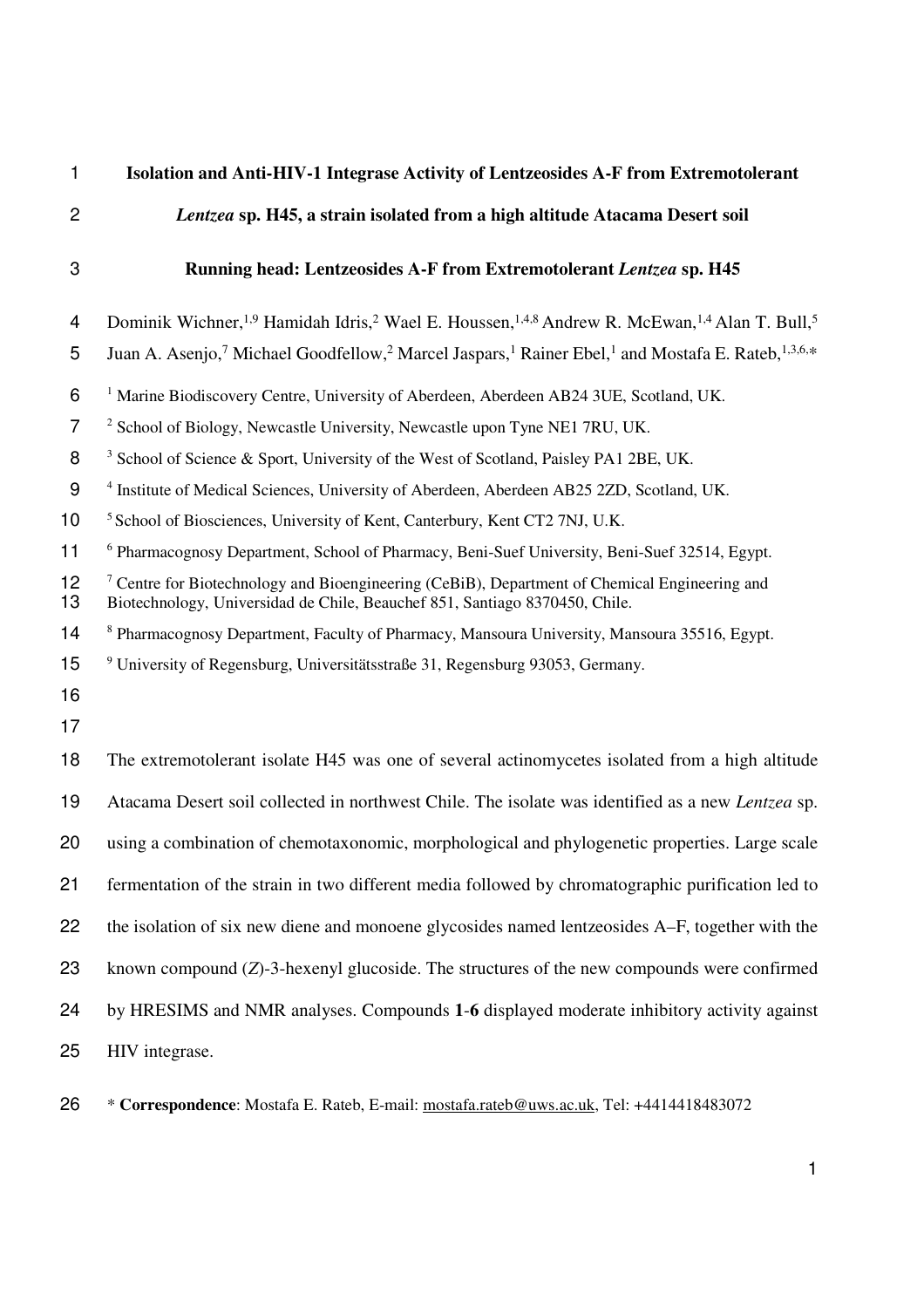| $\mathbf{1}$   | Isolation and Anti-HIV-1 Integrase Activity of Lentzeosides A-F from Extremotolerant                                                                                                    |
|----------------|-----------------------------------------------------------------------------------------------------------------------------------------------------------------------------------------|
| $\overline{2}$ | Lentzea sp. H45, a strain isolated from a high altitude Atacama Desert soil                                                                                                             |
| 3              | Running head: Lentzeosides A-F from Extremotolerant Lentzea sp. H45                                                                                                                     |
| 4              | Dominik Wichner, <sup>1,9</sup> Hamidah Idris, <sup>2</sup> Wael E. Houssen, <sup>1,4,8</sup> Andrew R. McEwan, <sup>1,4</sup> Alan T. Bull, <sup>5</sup>                               |
| 5              | Juan A. Asenjo, <sup>7</sup> Michael Goodfellow, <sup>2</sup> Marcel Jaspars, <sup>1</sup> Rainer Ebel, <sup>1</sup> and Mostafa E. Rateb, <sup>1,3,6,*</sup>                           |
| 6              | <sup>1</sup> Marine Biodiscovery Centre, University of Aberdeen, Aberdeen AB24 3UE, Scotland, UK.                                                                                       |
| $\overline{7}$ | <sup>2</sup> School of Biology, Newcastle University, Newcastle upon Tyne NE1 7RU, UK.                                                                                                  |
| 8              | <sup>3</sup> School of Science & Sport, University of the West of Scotland, Paisley PA1 2BE, UK.                                                                                        |
| 9              | <sup>4</sup> Institute of Medical Sciences, University of Aberdeen, Aberdeen AB25 2ZD, Scotland, UK.                                                                                    |
| 10             | <sup>5</sup> School of Biosciences, University of Kent, Canterbury, Kent CT2 7NJ, U.K.                                                                                                  |
| 11             | <sup>6</sup> Pharmacognosy Department, School of Pharmacy, Beni-Suef University, Beni-Suef 32514, Egypt.                                                                                |
| 12<br>13       | <sup>7</sup> Centre for Biotechnology and Bioengineering (CeBiB), Department of Chemical Engineering and<br>Biotechnology, Universidad de Chile, Beauchef 851, Santiago 8370450, Chile. |
| 14             | <sup>8</sup> Pharmacognosy Department, Faculty of Pharmacy, Mansoura University, Mansoura 35516, Egypt.                                                                                 |
| 15             | <sup>9</sup> University of Regensburg, Universitätsstraße 31, Regensburg 93053, Germany.                                                                                                |
| 16             |                                                                                                                                                                                         |
| 17             |                                                                                                                                                                                         |
| 18             | The extremotolerant isolate H45 was one of several actinomycetes isolated from a high altitude                                                                                          |
| 19             | Atacama Desert soil collected in northwest Chile. The isolate was identified as a new Lentzea sp.                                                                                       |
| 20             | using a combination of chemotaxonomic, morphological and phylogenetic properties. Large scale                                                                                           |
| 21             | fermentation of the strain in two different media followed by chromatographic purification led to                                                                                       |
| 22             | the isolation of six new diene and monoene glycosides named lentzeosides A–F, together with the                                                                                         |
| 23             | known compound $(Z)$ -3-hexenyl glucoside. The structures of the new compounds were confirmed                                                                                           |
| 24             | by HRESIMS and NMR analyses. Compounds 1-6 displayed moderate inhibitory activity against                                                                                               |
| 25             | HIV integrase.                                                                                                                                                                          |

26 \* **Correspondence**: Mostafa E. Rateb, E-mail: mostafa.rateb@uws.ac.uk, Tel: +4414418483072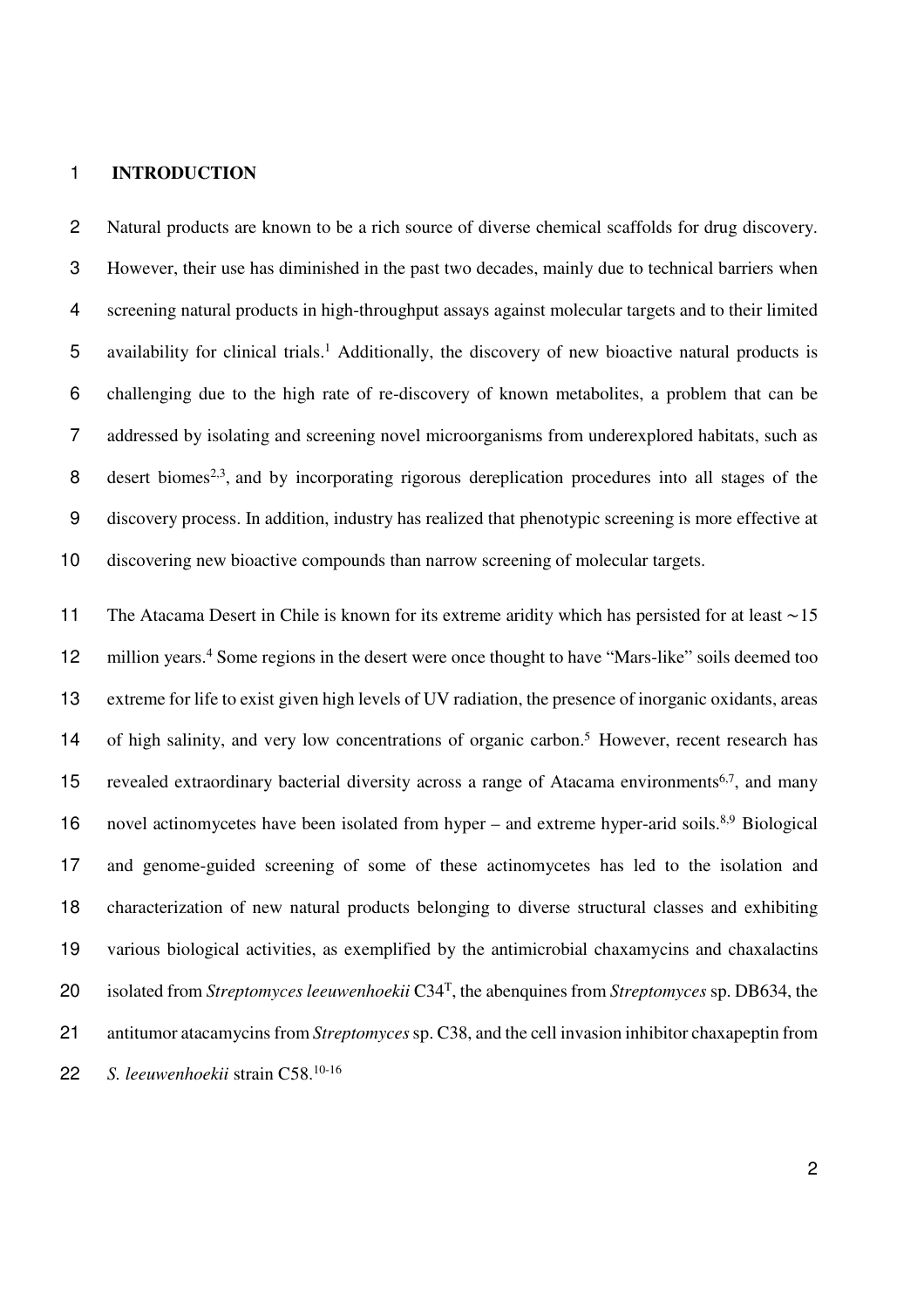#### **INTRODUCTION**

Natural products are known to be a rich source of diverse chemical scaffolds for drug discovery. However, their use has diminished in the past two decades, mainly due to technical barriers when screening natural products in high-throughput assays against molecular targets and to their limited 5 availability for clinical trials.<sup>1</sup> Additionally, the discovery of new bioactive natural products is challenging due to the high rate of re-discovery of known metabolites, a problem that can be addressed by isolating and screening novel microorganisms from underexplored habitats, such as  $\beta$  desert biomes<sup>2,3</sup>, and by incorporating rigorous dereplication procedures into all stages of the discovery process. In addition, industry has realized that phenotypic screening is more effective at discovering new bioactive compounds than narrow screening of molecular targets.

The Atacama Desert in Chile is known for its extreme aridity which has persisted for at least ∼15 12 million years.<sup>4</sup> Some regions in the desert were once thought to have "Mars-like" soils deemed too extreme for life to exist given high levels of UV radiation, the presence of inorganic oxidants, areas 14 of high salinity, and very low concentrations of organic carbon.<sup>5</sup> However, recent research has 15 revealed extraordinary bacterial diversity across a range of Atacama environments<sup>6,7</sup>, and many 16 novel actinomycetes have been isolated from hyper – and extreme hyper-arid soils.<sup>8,9</sup> Biological and genome-guided screening of some of these actinomycetes has led to the isolation and characterization of new natural products belonging to diverse structural classes and exhibiting various biological activities, as exemplified by the antimicrobial chaxamycins and chaxalactins 20 isolated from *Streptomyces leeuwenhoekii* C34<sup>T</sup>, the abenquines from *Streptomyces* sp. DB634, the antitumor atacamycins from *Streptomyces* sp. C38, and the cell invasion inhibitor chaxapeptin from *S. leeuwenhoekii* strain C58.10-16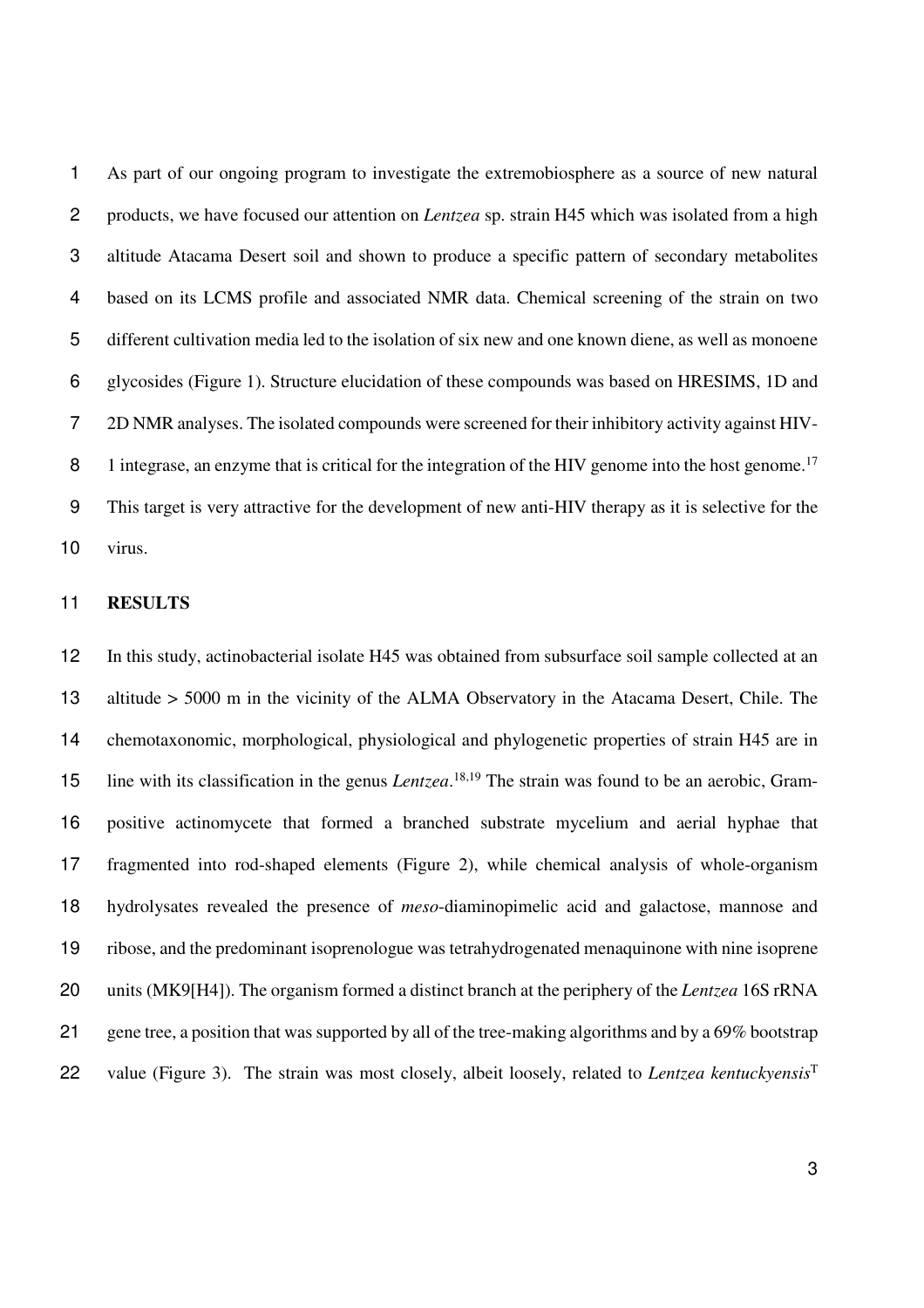As part of our ongoing program to investigate the extremobiosphere as a source of new natural products, we have focused our attention on *Lentzea* sp. strain H45 which was isolated from a high altitude Atacama Desert soil and shown to produce a specific pattern of secondary metabolites based on its LCMS profile and associated NMR data. Chemical screening of the strain on two different cultivation media led to the isolation of six new and one known diene, as well as monoene glycosides (Figure 1). Structure elucidation of these compounds was based on HRESIMS, 1D and 2D NMR analyses. The isolated compounds were screened for their inhibitory activity against HIV-8 1 integrase, an enzyme that is critical for the integration of the HIV genome into the host genome.<sup>17</sup> This target is very attractive for the development of new anti-HIV therapy as it is selective for the virus.

## **RESULTS**

In this study, actinobacterial isolate H45 was obtained from subsurface soil sample collected at an altitude > 5000 m in the vicinity of the ALMA Observatory in the Atacama Desert, Chile. The chemotaxonomic, morphological, physiological and phylogenetic properties of strain H45 are in 15 line with its classification in the genus *Lentzea*.<sup>18,19</sup> The strain was found to be an aerobic, Gram-positive actinomycete that formed a branched substrate mycelium and aerial hyphae that fragmented into rod-shaped elements (Figure 2), while chemical analysis of whole-organism hydrolysates revealed the presence of *meso*-diaminopimelic acid and galactose, mannose and ribose, and the predominant isoprenologue was tetrahydrogenated menaquinone with nine isoprene units (MK9[H4]). The organism formed a distinct branch at the periphery of the *Lentzea* 16S rRNA 21 gene tree, a position that was supported by all of the tree-making algorithms and by a 69% bootstrap value (Figure 3). The strain was most closely, albeit loosely, related to *Lentzea kentuckyensis*<sup>T</sup>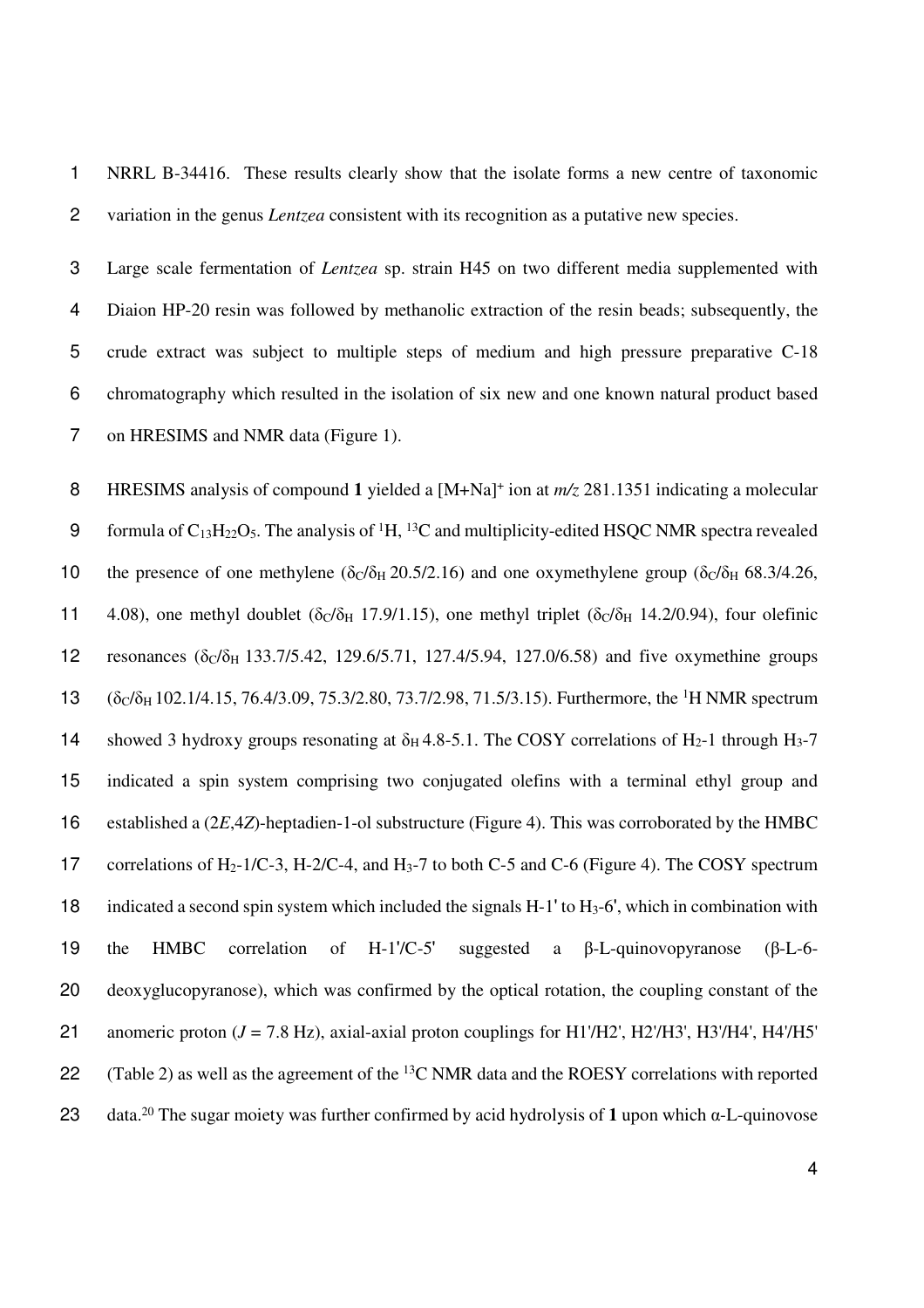1 NRRL B-34416. These results clearly show that the isolate forms a new centre of taxonomic 2 variation in the genus *Lentzea* consistent with its recognition as a putative new species.

Large scale fermentation of *Lentzea* sp. strain H45 on two different media supplemented with Diaion HP-20 resin was followed by methanolic extraction of the resin beads; subsequently, the crude extract was subject to multiple steps of medium and high pressure preparative C-18 chromatography which resulted in the isolation of six new and one known natural product based on HRESIMS and NMR data (Figure 1).

8 HRESIMS analysis of compound 1 yielded a  $[M+Na]^+$  ion at  $m/z$  281.1351 indicating a molecular 9 formula of  $C_{13}H_{22}O_5$ . The analysis of <sup>1</sup>H, <sup>13</sup>C and multiplicity-edited HSQC NMR spectra revealed 10 the presence of one methylene ( $\delta c/\delta H$  20.5/2.16) and one oxymethylene group ( $\delta c/\delta H$  68.3/4.26, 11 4.08), one methyl doublet ( $\delta c/\delta H$  17.9/1.15), one methyl triplet ( $\delta c/\delta H$  14.2/0.94), four olefinic 12 resonances  $(\delta_C/\delta_H 133.7/5.42, 129.6/5.71, 127.4/5.94, 127.0/6.58)$  and five oxymethine groups 13  $(\delta_C/\delta_H 102.1/4.15, 76.4/3.09, 75.3/2.80, 73.7/2.98, 71.5/3.15)$ . Furthermore, the <sup>1</sup>H NMR spectrum 14 showed 3 hydroxy groups resonating at  $\delta_H$  4.8-5.1. The COSY correlations of H<sub>2</sub>-1 through H<sub>3</sub>-7 15 indicated a spin system comprising two conjugated olefins with a terminal ethyl group and 16 established a (2*E*,4*Z*)-heptadien-1-ol substructure (Figure 4). This was corroborated by the HMBC 17 correlations of H<sub>2</sub>-1/C-3, H-2/C-4, and H<sub>3</sub>-7 to both C-5 and C-6 (Figure 4). The COSY spectrum 18 indicated a second spin system which included the signals  $H-1'$  to  $H<sub>3</sub>-6'$ , which in combination with 19 the HMBC correlation of H-1'/C-5' suggested a β-L-quinovopyranose (β-L-6- 20 deoxyglucopyranose), which was confirmed by the optical rotation, the coupling constant of the 21 anomeric proton (*J* = 7.8 Hz), axial-axial proton couplings for H1'/H2', H2'/H3', H3'/H4', H4'/H5' 22 (Table 2) as well as the agreement of the  ${}^{13}C$  NMR data and the ROESY correlations with reported data.<sup>20</sup> 23 The sugar moiety was further confirmed by acid hydrolysis of **1** upon which α-L-quinovose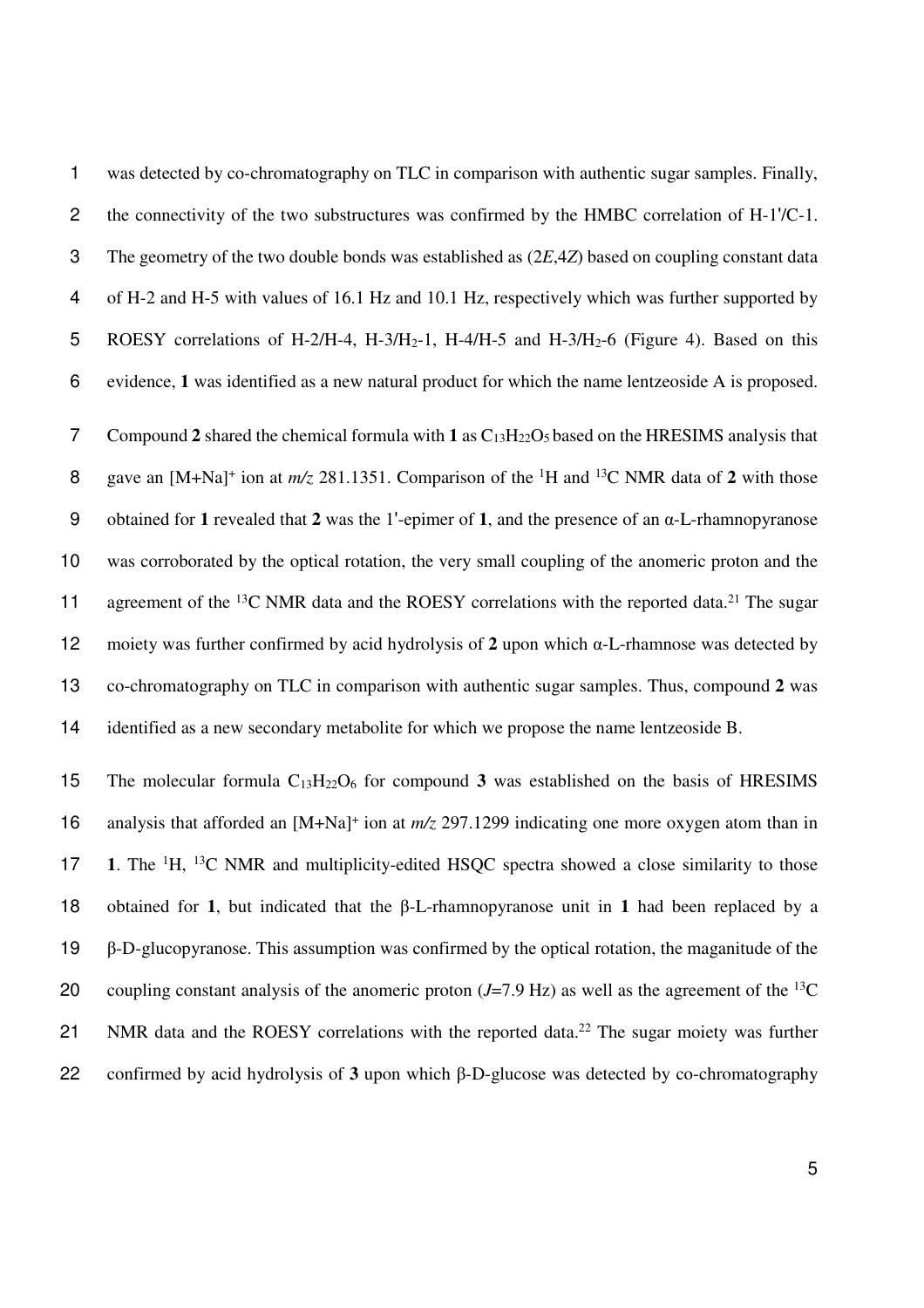was detected by co-chromatography on TLC in comparison with authentic sugar samples. Finally, the connectivity of the two substructures was confirmed by the HMBC correlation of H-1'/C-1. The geometry of the two double bonds was established as (2*E*,4*Z*) based on coupling constant data of H-2 and H-5 with values of 16.1 Hz and 10.1 Hz, respectively which was further supported by 5 ROESY correlations of H-2/H-4, H-3/H<sub>2</sub>-1, H-4/H-5 and H-3/H<sub>2</sub>-6 (Figure 4). Based on this evidence, **1** was identified as a new natural product for which the name lentzeoside A is proposed. 7 Compound 2 shared the chemical formula with 1 as  $C_{13}H_{22}O_5$  based on the HRESIMS analysis that 8 gave an  $[M+Na]^+$  ion at  $m/z$  281.1351. Comparison of the <sup>1</sup>H and <sup>13</sup>C NMR data of 2 with those obtained for **1** revealed that **2** was the 1'-epimer of **1**, and the presence of an α-L-rhamnopyranose was corroborated by the optical rotation, the very small coupling of the anomeric proton and the 11 agreement of the  $^{13}$ C NMR data and the ROESY correlations with the reported data.<sup>21</sup> The sugar moiety was further confirmed by acid hydrolysis of **2** upon which α-L-rhamnose was detected by co-chromatography on TLC in comparison with authentic sugar samples. Thus, compound **2** was identified as a new secondary metabolite for which we propose the name lentzeoside B.

15 The molecular formula  $C_{13}H_{22}O_6$  for compound 3 was established on the basis of HRESIMS 16 analysis that afforded an [M+Na]<sup>+</sup> ion at  $m/z$  297.1299 indicating one more oxygen atom than in 17 1. The <sup>1</sup>H, <sup>13</sup>C NMR and multiplicity-edited HSQC spectra showed a close similarity to those obtained for **1**, but indicated that the β-L-rhamnopyranose unit in **1** had been replaced by a β-D-glucopyranose. This assumption was confirmed by the optical rotation, the maganitude of the 20 coupling constant analysis of the anomeric proton  $(J=7.9 \text{ Hz})$  as well as the agreement of the <sup>13</sup>C 21 NMR data and the ROESY correlations with the reported data.<sup>22</sup> The sugar moiety was further confirmed by acid hydrolysis of **3** upon which β-D-glucose was detected by co-chromatography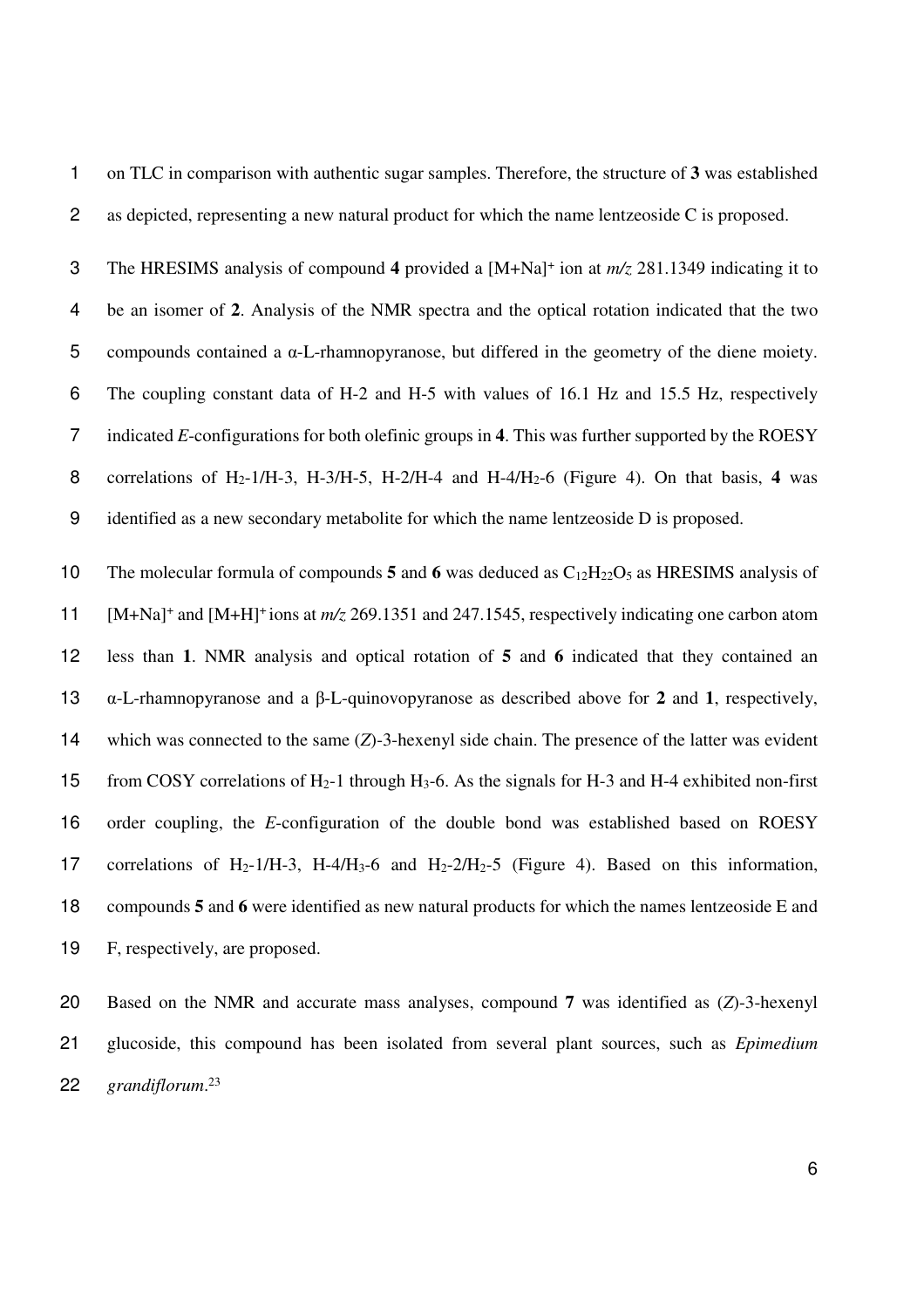on TLC in comparison with authentic sugar samples. Therefore, the structure of **3** was established as depicted, representing a new natural product for which the name lentzeoside C is proposed.

The HRESIMS analysis of compound 4 provided a [M+Na]<sup>+</sup> ion at  $m/z$  281.1349 indicating it to be an isomer of **2**. Analysis of the NMR spectra and the optical rotation indicated that the two compounds contained a α-L-rhamnopyranose, but differed in the geometry of the diene moiety. The coupling constant data of H-2 and H-5 with values of 16.1 Hz and 15.5 Hz, respectively indicated *E*-configurations for both olefinic groups in **4**. This was further supported by the ROESY 8 correlations of H<sub>2</sub>-1/H-3, H-3/H-5, H-2/H-4 and H-4/H<sub>2</sub>-6 (Figure 4). On that basis, 4 was identified as a new secondary metabolite for which the name lentzeoside D is proposed.

The molecular formula of compounds **5** and **6** was deduced as C12H22O5 as HRESIMS analysis of 11 [M+Na]<sup>+</sup> and [M+H]<sup>+</sup> ions at *m/z* 269.1351 and 247.1545, respectively indicating one carbon atom less than **1**. NMR analysis and optical rotation of **5** and **6** indicated that they contained an α-L-rhamnopyranose and a β-L-quinovopyranose as described above for **2** and **1**, respectively, which was connected to the same (*Z*)-3-hexenyl side chain. The presence of the latter was evident from COSY correlations of H2-1 through H3-6. As the signals for H-3 and H-4 exhibited non-first order coupling, the *E*-configuration of the double bond was established based on ROESY 17 correlations of H<sub>2</sub>-1/H-3, H-4/H<sub>3</sub>-6 and H<sub>2</sub>-2/H<sub>2</sub>-5 (Figure 4). Based on this information, compounds **5** and **6** were identified as new natural products for which the names lentzeoside E and F, respectively, are proposed.

Based on the NMR and accurate mass analyses, compound **7** was identified as (*Z*)-3-hexenyl glucoside, this compound has been isolated from several plant sources, such as *Epimedium grandiflorum*. <sup>23</sup>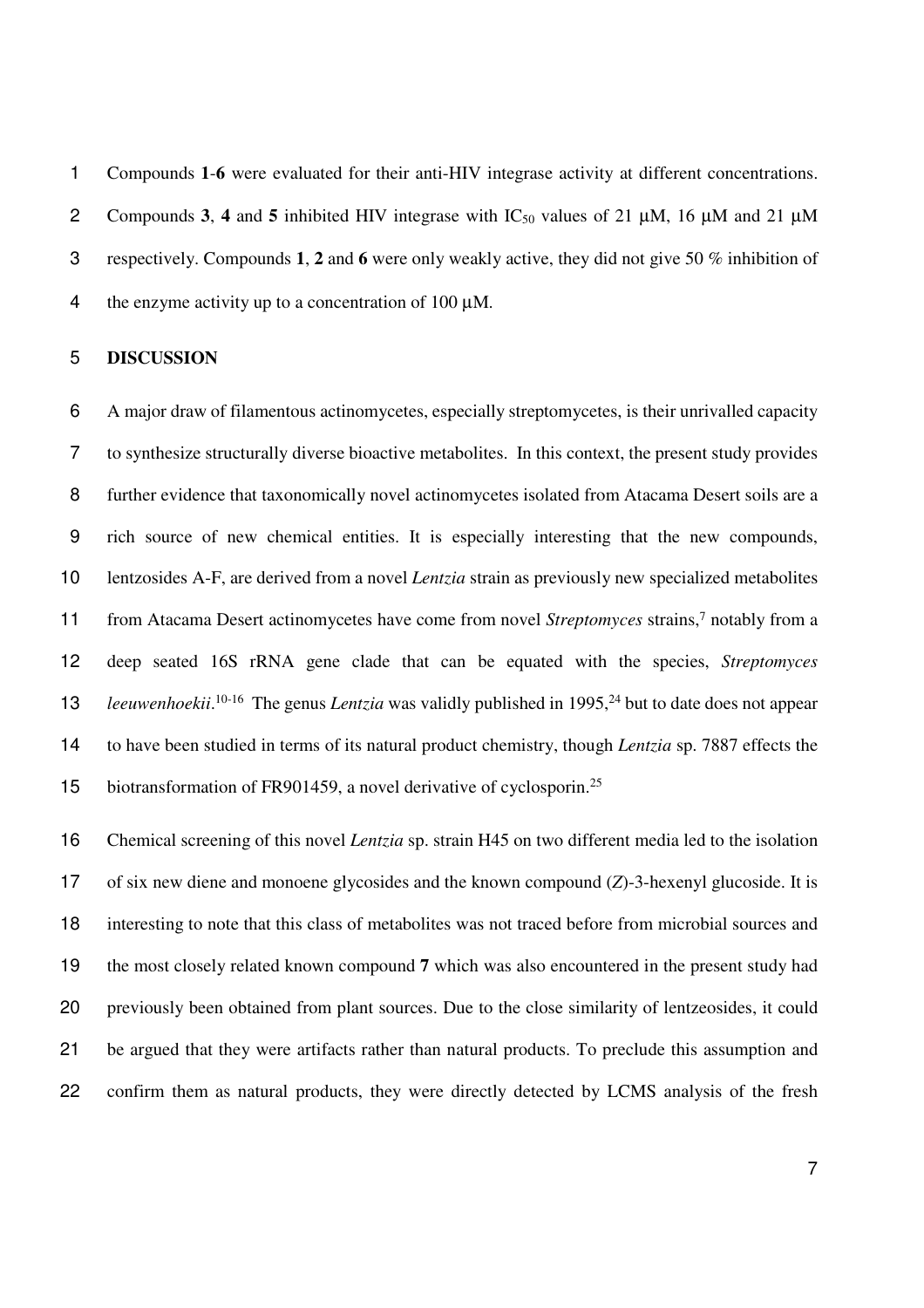Compounds **1**-**6** were evaluated for their anti-HIV integrase activity at different concentrations. 2 Compounds 3, 4 and 5 inhibited HIV integrase with  $IC_{50}$  values of 21  $\mu$ M, 16  $\mu$ M and 21  $\mu$ M respectively. Compounds **1**, **2** and **6** were only weakly active, they did not give 50 % inhibition of 4 the enzyme activity up to a concentration of  $100 \mu M$ .

### **DISCUSSION**

A major draw of filamentous actinomycetes, especially streptomycetes, is their unrivalled capacity to synthesize structurally diverse bioactive metabolites. In this context, the present study provides further evidence that taxonomically novel actinomycetes isolated from Atacama Desert soils are a rich source of new chemical entities. It is especially interesting that the new compounds, lentzosides A-F, are derived from a novel *Lentzia* strain as previously new specialized metabolites from Atacama Desert actinomycetes have come from novel *Streptomyces* strains,<sup>7</sup> notably from a deep seated 16S rRNA gene clade that can be equated with the species, *Streptomyces*  13 leeuwenhoekii.<sup>10-16</sup> The genus *Lentzia* was validly published in 1995,<sup>24</sup> but to date does not appear to have been studied in terms of its natural product chemistry, though *Lentzia* sp. 7887 effects the 15 biotransformation of FR901459, a novel derivative of cyclosporin.<sup>25</sup>

Chemical screening of this novel *Lentzia* sp. strain H45 on two different media led to the isolation of six new diene and monoene glycosides and the known compound (*Z*)-3-hexenyl glucoside. It is interesting to note that this class of metabolites was not traced before from microbial sources and the most closely related known compound **7** which was also encountered in the present study had previously been obtained from plant sources. Due to the close similarity of lentzeosides, it could be argued that they were artifacts rather than natural products. To preclude this assumption and confirm them as natural products, they were directly detected by LCMS analysis of the fresh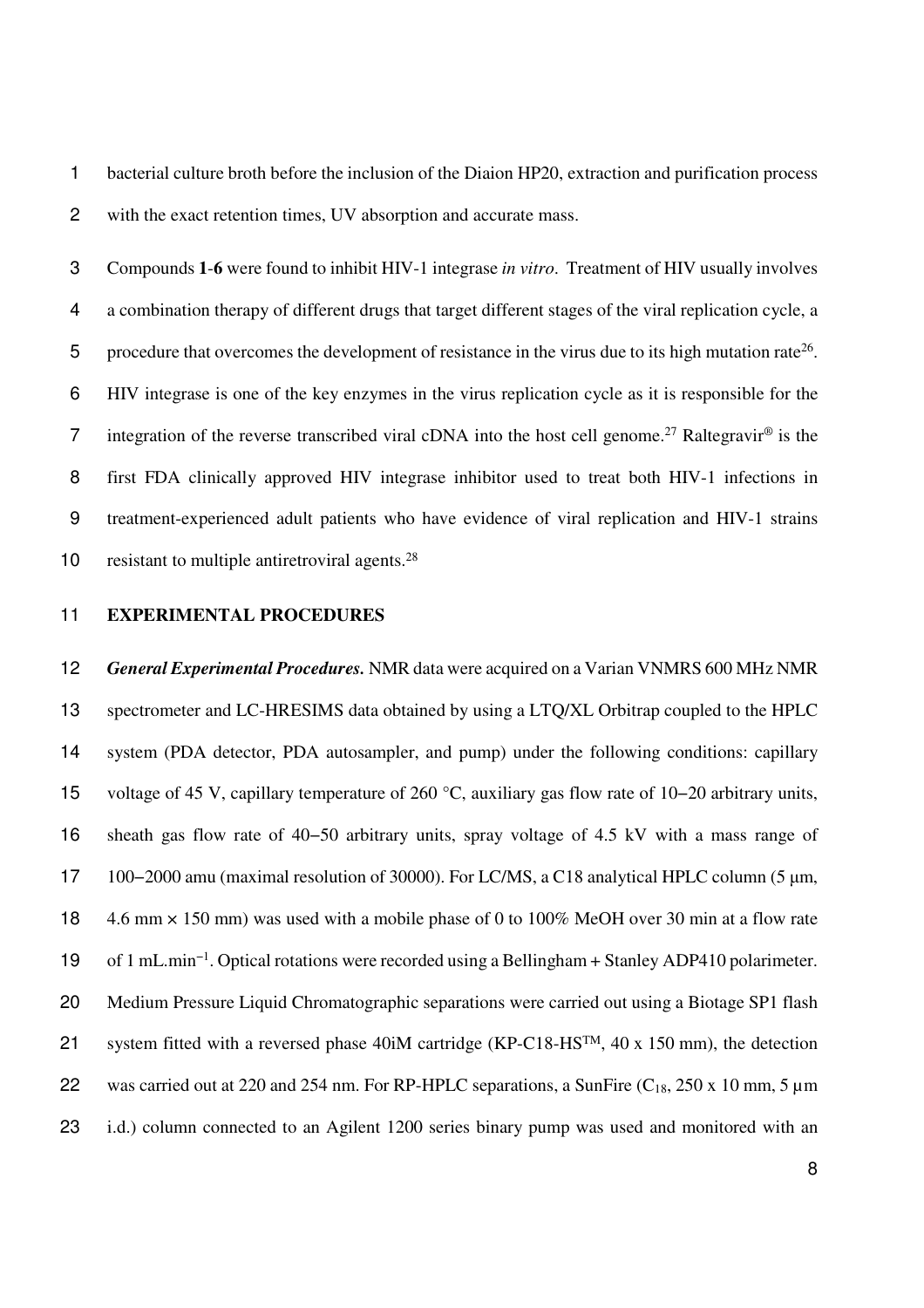bacterial culture broth before the inclusion of the Diaion HP20, extraction and purification process with the exact retention times, UV absorption and accurate mass.

Compounds **1**-**6** were found to inhibit HIV-1 integrase *in vitro*. Treatment of HIV usually involves a combination therapy of different drugs that target different stages of the viral replication cycle, a 5 procedure that overcomes the development of resistance in the virus due to its high mutation rate<sup>26</sup>. HIV integrase is one of the key enzymes in the virus replication cycle as it is responsible for the 7 integration of the reverse transcribed viral cDNA into the host cell genome.<sup>27</sup> Raltegravir<sup>®</sup> is the first FDA clinically approved HIV integrase inhibitor used to treat both HIV-1 infections in treatment-experienced adult patients who have evidence of viral replication and HIV-1 strains 10 resistant to multiple antiretroviral agents. $^{28}$ 

#### **EXPERIMENTAL PROCEDURES**

*General Experimental Procedures.* NMR data were acquired on a Varian VNMRS 600 MHz NMR spectrometer and LC-HRESIMS data obtained by using a LTQ/XL Orbitrap coupled to the HPLC system (PDA detector, PDA autosampler, and pump) under the following conditions: capillary voltage of 45 V, capillary temperature of 260 °C, auxiliary gas flow rate of 10−20 arbitrary units, sheath gas flow rate of 40−50 arbitrary units, spray voltage of 4.5 kV with a mass range of 100−2000 amu (maximal resolution of 30000). For LC/MS, a C18 analytical HPLC column (5 µm, 4.6 mm × 150 mm) was used with a mobile phase of 0 to 100% MeOH over 30 min at a flow rate of 1 mL.min−1 . Optical rotations were recorded using a Bellingham + Stanley ADP410 polarimeter. Medium Pressure Liquid Chromatographic separations were carried out using a Biotage SP1 flash 21 system fitted with a reversed phase 40iM cartridge (KP-C18-HS<sup>TM</sup>, 40 x 150 mm), the detection 22 was carried out at 220 and 254 nm. For RP-HPLC separations, a SunFire  $(C_{18}, 250 \times 10 \text{ mm}, 5 \mu \text{m})$ i.d.) column connected to an Agilent 1200 series binary pump was used and monitored with an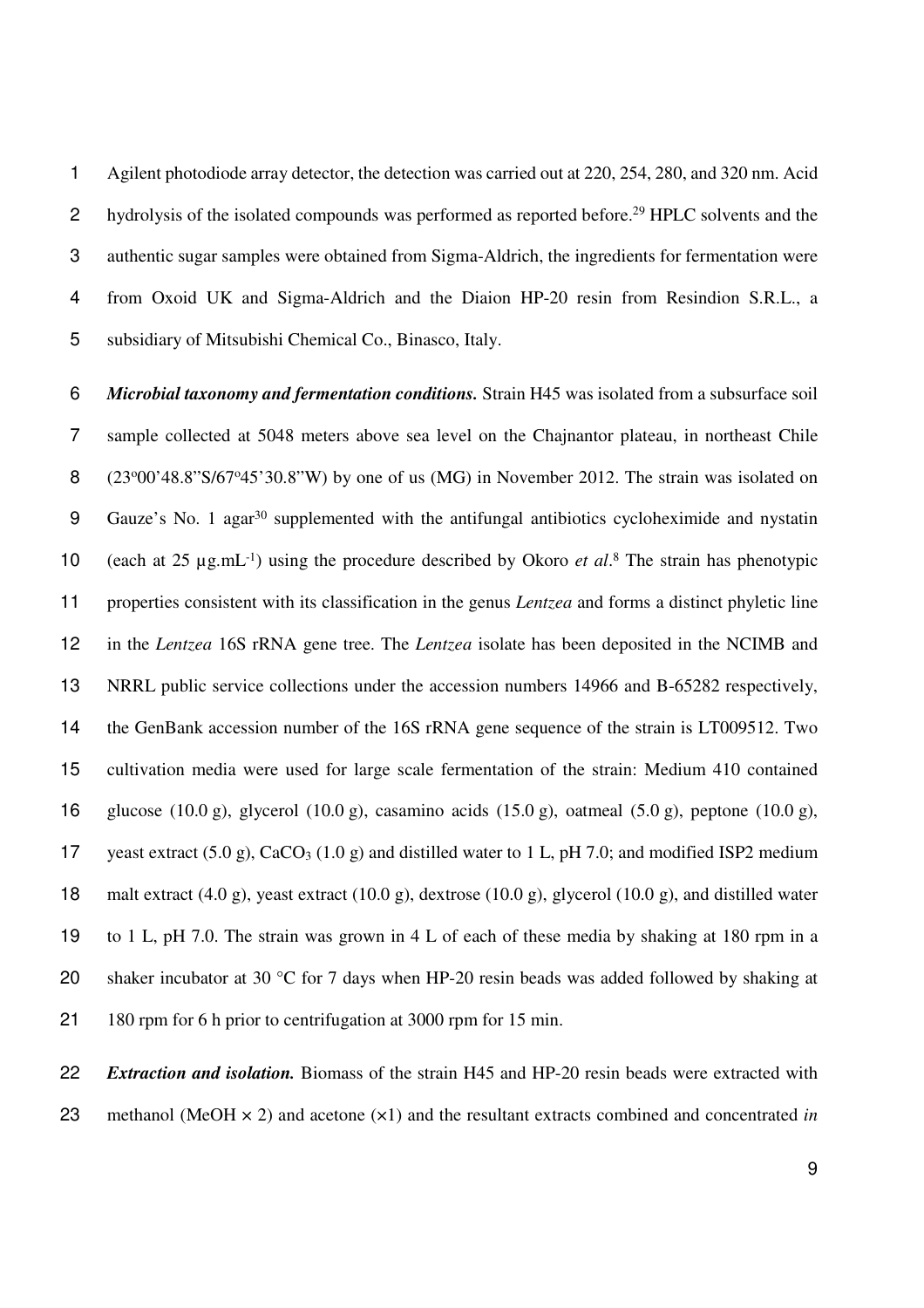Agilent photodiode array detector, the detection was carried out at 220, 254, 280, and 320 nm. Acid 2 hydrolysis of the isolated compounds was performed as reported before.<sup>29</sup> HPLC solvents and the authentic sugar samples were obtained from Sigma-Aldrich, the ingredients for fermentation were from Oxoid UK and Sigma-Aldrich and the Diaion HP-20 resin from Resindion S.R.L., a subsidiary of Mitsubishi Chemical Co., Binasco, Italy.

*Microbial taxonomy and fermentation conditions.* Strain H45 was isolated from a subsurface soil sample collected at 5048 meters above sea level on the Chajnantor plateau, in northeast Chile  $(23°00'48.8"S/67°45'30.8"W)$  by one of us (MG) in November 2012. The strain was isolated on 9 Gauze's No. 1 agar<sup>30</sup> supplemented with the antifungal antibiotics cycloheximide and nystatin 10 (each at  $25 \mu g.mL^{-1}$ ) using the procedure described by Okoro *et al.*<sup>8</sup> The strain has phenotypic properties consistent with its classification in the genus *Lentzea* and forms a distinct phyletic line in the *Lentzea* 16S rRNA gene tree. The *Lentzea* isolate has been deposited in the NCIMB and NRRL public service collections under the accession numbers 14966 and B-65282 respectively, the GenBank accession number of the 16S rRNA gene sequence of the strain is LT009512. Two cultivation media were used for large scale fermentation of the strain: Medium 410 contained 16 glucose (10.0 g), glycerol (10.0 g), casamino acids (15.0 g), oatmeal (5.0 g), peptone (10.0 g), 17 yeast extract  $(5.0 \text{ g})$ , CaCO<sub>3</sub>  $(1.0 \text{ g})$  and distilled water to 1 L, pH 7.0; and modified ISP2 medium 18 malt extract (4.0 g), yeast extract (10.0 g), dextrose (10.0 g), glycerol (10.0 g), and distilled water to 1 L, pH 7.0. The strain was grown in 4 L of each of these media by shaking at 180 rpm in a 20 shaker incubator at 30  $\degree$ C for 7 days when HP-20 resin beads was added followed by shaking at 180 rpm for 6 h prior to centrifugation at 3000 rpm for 15 min.

*Extraction and isolation.* Biomass of the strain H45 and HP-20 resin beads were extracted with methanol (MeOH × 2) and acetone (×1) and the resultant extracts combined and concentrated *in*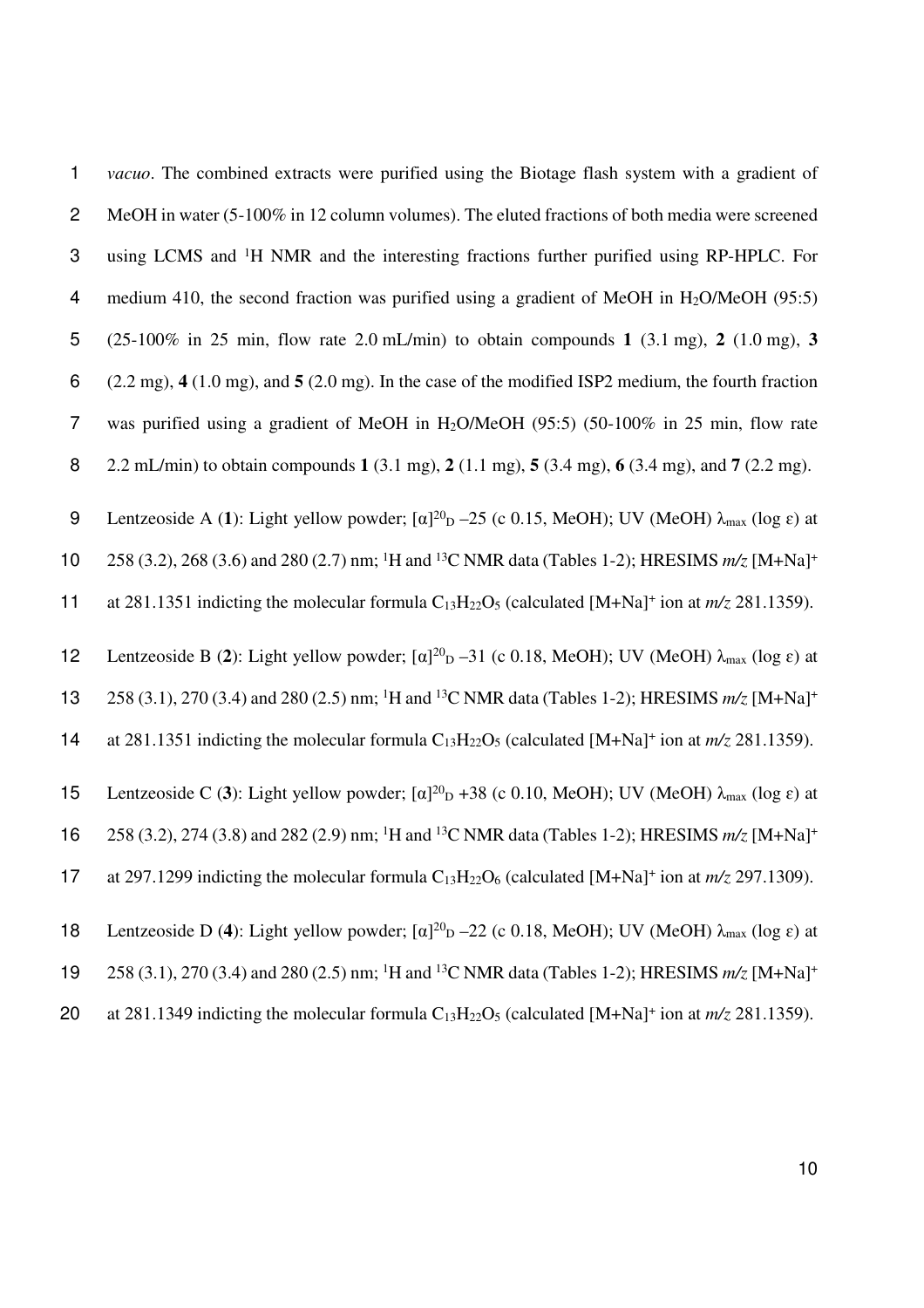1 *vacuo*. The combined extracts were purified using the Biotage flash system with a gradient of 2 MeOH in water (5-100% in 12 column volumes). The eluted fractions of both media were screened 3 using LCMS and <sup>1</sup>H NMR and the interesting fractions further purified using RP-HPLC. For 4 medium 410, the second fraction was purified using a gradient of MeOH in  $H_2O/MeOH$  (95:5) 5 (25-100% in 25 min, flow rate 2.0 mL/min) to obtain compounds **1** (3.1 mg), **2** (1.0 mg), **3**  6 (2.2 mg), **4** (1.0 mg), and **5** (2.0 mg). In the case of the modified ISP2 medium, the fourth fraction 7 was purified using a gradient of MeOH in H2O/MeOH (95:5) (50-100% in 25 min, flow rate 8 2.2 mL/min) to obtain compounds **1** (3.1 mg), **2** (1.1 mg), **5** (3.4 mg), **6** (3.4 mg), and **7** (2.2 mg). 9 Lentzeoside A (1): Light yellow powder;  $[α]^{20}D - 25$  (c 0.15, MeOH); UV (MeOH)  $\lambda_{max}$  (log ε) at 258 (3.2), 268 (3.6) and 280 (2.7) nm; <sup>1</sup>H and <sup>13</sup>C NMR data (Tables 1-2); HRESIMS *m/z* [M+Na]<sup>+</sup> 10 11 at 281.1351 indicting the molecular formula  $C_{13}H_{22}O_5$  (calculated  $[M+Na]^+$  ion at  $m/z$  281.1359). 12 Lentzeoside B (2): Light yellow powder; [α]<sup>20</sup><sub>D</sub> –31 (c 0.18, MeOH); UV (MeOH)  $\lambda_{\text{max}}$  (log ε) at 258 (3.1), 270 (3.4) and 280 (2.5) nm; <sup>1</sup>H and <sup>13</sup>C NMR data (Tables 1-2); HRESIMS *m/z* [M+Na]<sup>+</sup> 13 14 at 281.1351 indicting the molecular formula  $C_{13}H_{22}O_5$  (calculated  $[M+Na]^+$  ion at  $m/z$  281.1359). 15 Lentzeoside C (3): Light yellow powder;  $[\alpha]^{20}$  +38 (c 0.10, MeOH); UV (MeOH)  $\lambda_{\text{max}}$  (log  $\varepsilon$ ) at 258 (3.2), 274 (3.8) and 282 (2.9) nm; <sup>1</sup>H and <sup>13</sup>C NMR data (Tables 1-2); HRESIMS *m/z* [M+Na]<sup>+</sup> 16 17 at 297.1299 indicting the molecular formula  $C_{13}H_{22}O_6$  (calculated  $[M+Na]^+$  ion at  $m/z$  297.1309). 18 Lentzeoside D (4): Light yellow powder;  $\lbrack \alpha \rbrack^{20}$  – 22 (c 0.18, MeOH); UV (MeOH)  $\lambda_{\text{max}}$  (log  $\varepsilon$ ) at 258 (3.1), 270 (3.4) and 280 (2.5) nm; <sup>1</sup>H and <sup>13</sup>C NMR data (Tables 1-2); HRESIMS *m/z* [M+Na]<sup>+</sup> 19

20 at 281.1349 indicting the molecular formula  $C_{13}H_{22}O_5$  (calculated  $[M+Na]^+$  ion at  $m/z$  281.1359).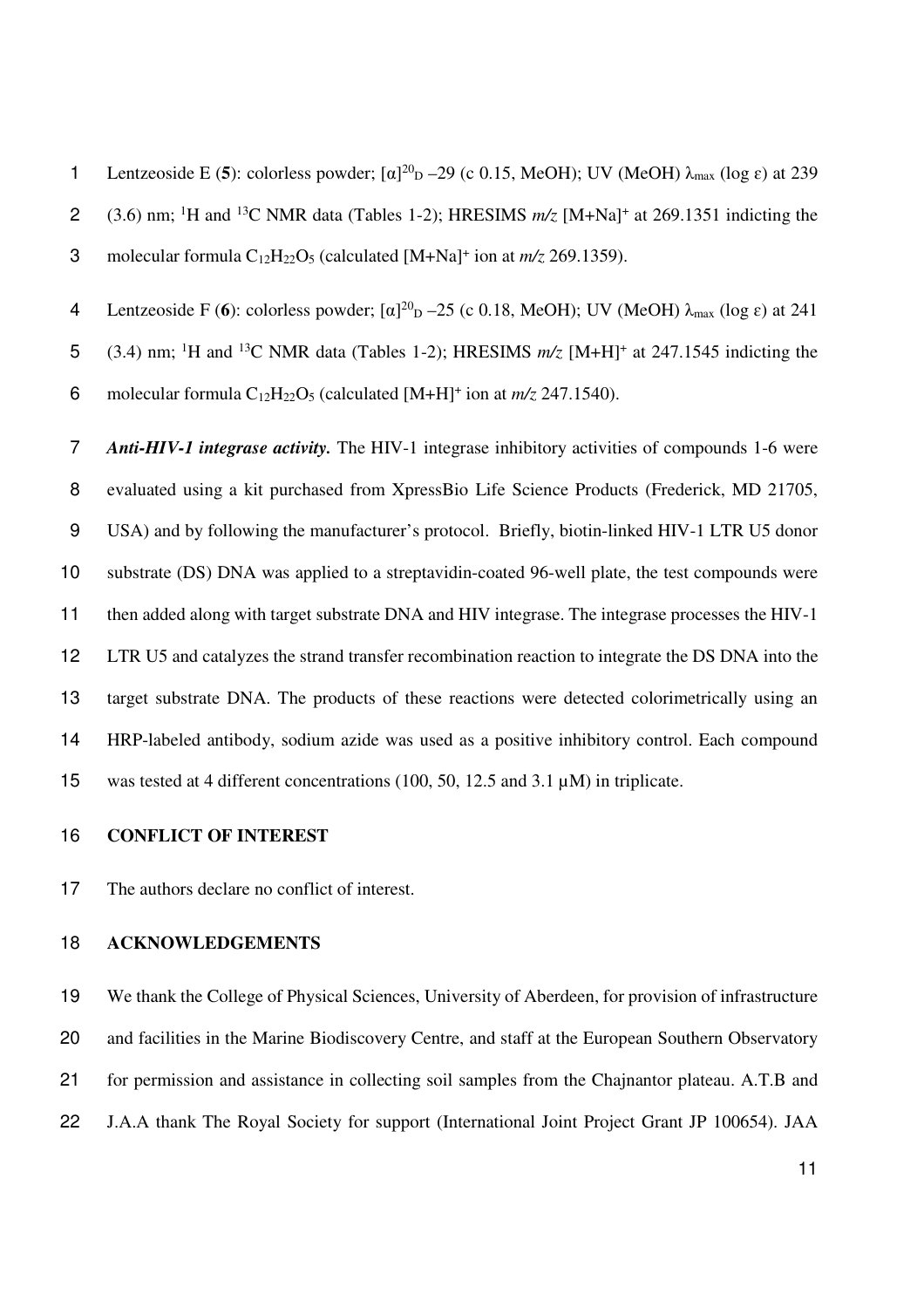1 Lentzeoside E (5): colorless powder;  $[α]^{20}$ <sub>D</sub> –29 (c 0.15, MeOH); UV (MeOH)  $λ_{max}$  (log ε) at 239 (3.6) nm; <sup>1</sup>H and <sup>13</sup>C NMR data (Tables 1-2); HRESIMS  $m/z$  [M+Na<sup>+</sup> at 269.1351 indicting the 3 molecular formula  $C_{12}H_{22}O_5$  (calculated  $[M+Na]^+$  ion at  $m/z$  269.1359).

**4** Lentzeoside F (6): colorless powder;  $[α]^{20}$   $-25$  (c 0.18, MeOH); UV (MeOH)  $λ_{max}$  (log ε) at 241

5 (3.4) nm; <sup>1</sup>H and <sup>13</sup>C NMR data (Tables 1-2); HRESIMS  $m/z$  [M+H]<sup>+</sup> at 247.1545 indicting the 6 molecular formula  $C_{12}H_{22}O_5$  (calculated  $[M+H]^+$  ion at  $m/z$  247.1540).

*Anti-HIV-1 integrase activity.* The HIV-1 integrase inhibitory activities of compounds 1-6 were evaluated using a kit purchased from XpressBio Life Science Products (Frederick, MD 21705, USA) and by following the manufacturer's protocol. Briefly, biotin-linked HIV-1 LTR U5 donor substrate (DS) DNA was applied to a streptavidin-coated 96-well plate, the test compounds were then added along with target substrate DNA and HIV integrase. The integrase processes the HIV-1 LTR U5 and catalyzes the strand transfer recombination reaction to integrate the DS DNA into the target substrate DNA. The products of these reactions were detected colorimetrically using an HRP-labeled antibody, sodium azide was used as a positive inhibitory control. Each compound was tested at 4 different concentrations (100, 50, 12.5 and 3.1 µM) in triplicate.

#### **CONFLICT OF INTEREST**

The authors declare no conflict of interest.

#### **ACKNOWLEDGEMENTS**

We thank the College of Physical Sciences, University of Aberdeen, for provision of infrastructure and facilities in the Marine Biodiscovery Centre, and staff at the European Southern Observatory for permission and assistance in collecting soil samples from the Chajnantor plateau. A.T.B and J.A.A thank The Royal Society for support (International Joint Project Grant JP 100654). JAA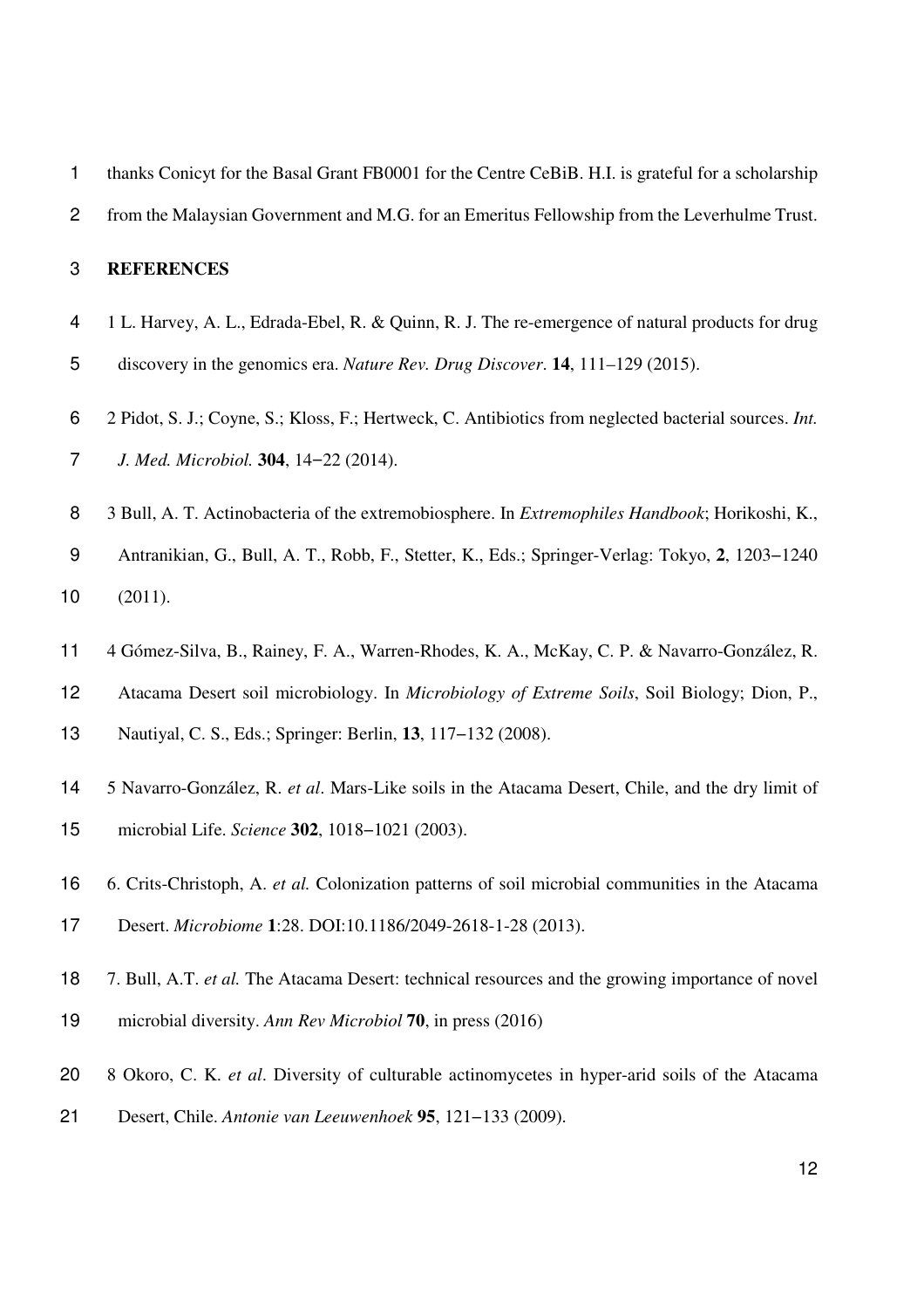| 1              | thanks Conicyt for the Basal Grant FB0001 for the Centre CeBiB. H.I. is grateful for a scholarship    |
|----------------|-------------------------------------------------------------------------------------------------------|
| $\overline{c}$ | from the Malaysian Government and M.G. for an Emeritus Fellowship from the Leverhulme Trust.          |
| 3              | <b>REFERENCES</b>                                                                                     |
| 4              | 1 L. Harvey, A. L., Edrada-Ebel, R. & Quinn, R. J. The re-emergence of natural products for drug      |
| 5              | discovery in the genomics era. Nature Rev. Drug Discover. 14, 111-129 (2015).                         |
| 6              | 2 Pidot, S. J.; Coyne, S.; Kloss, F.; Hertweck, C. Antibiotics from neglected bacterial sources. Int. |
| $\overline{7}$ | J. Med. Microbiol. 304, 14-22 (2014).                                                                 |
| 8              | 3 Bull, A. T. Actinobacteria of the extremobiosphere. In Extremophiles Handbook; Horikoshi, K.,       |
| 9              | Antranikian, G., Bull, A. T., Robb, F., Stetter, K., Eds.; Springer-Verlag: Tokyo, 2, 1203-1240       |
| 10             | (2011).                                                                                               |
| 11             | 4 Gómez-Silva, B., Rainey, F. A., Warren-Rhodes, K. A., McKay, C. P. & Navarro-González, R.           |
| 12             | Atacama Desert soil microbiology. In Microbiology of Extreme Soils, Soil Biology; Dion, P.,           |
| 13             | Nautiyal, C. S., Eds.; Springer: Berlin, 13, 117-132 (2008).                                          |
| 14             | 5 Navarro-González, R. et al. Mars-Like soils in the Atacama Desert, Chile, and the dry limit of      |
| 15             | microbial Life. Science 302, 1018-1021 (2003).                                                        |
| 16             | 6. Crits-Christoph, A. et al. Colonization patterns of soil microbial communities in the Atacama      |
| 17             | Desert. Microbiome 1:28. DOI:10.1186/2049-2618-1-28 (2013).                                           |
|                |                                                                                                       |
| 18             | 7. Bull, A.T. et al. The Atacama Desert: technical resources and the growing importance of novel      |

- 8 Okoro, C. K. *et al*. Diversity of culturable actinomycetes in hyper-arid soils of the Atacama
- Desert, Chile. *Antonie van Leeuwenhoek* **95**, 121−133 (2009).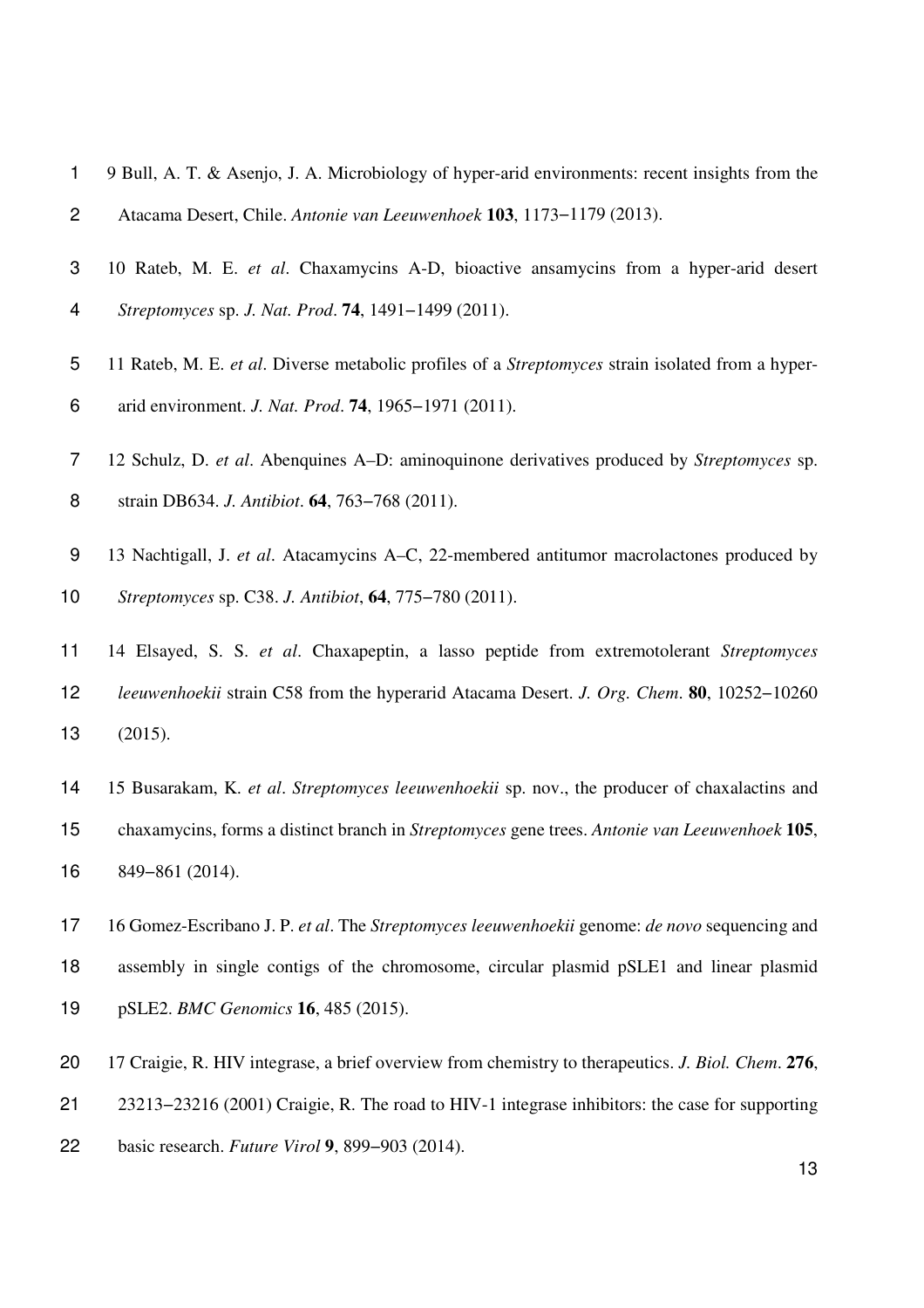- 9 Bull, A. T. & Asenjo, J. A. Microbiology of hyper-arid environments: recent insights from the Atacama Desert, Chile. *Antonie van Leeuwenhoek* **103**, 1173−1179 (2013).
- 10 Rateb, M. E. *et al*. Chaxamycins A-D, bioactive ansamycins from a hyper-arid desert *Streptomyces* sp. *J. Nat. Prod*. **74**, 1491−1499 (2011).
- 11 Rateb, M. E. *et al*. Diverse metabolic profiles of a *Streptomyces* strain isolated from a hyper-arid environment. *J. Nat. Prod*. **74**, 1965−1971 (2011).
- 12 Schulz, D. *et al*. Abenquines A–D: aminoquinone derivatives produced by *Streptomyces* sp. strain DB634. *J. Antibiot*. **64**, 763−768 (2011).
- 13 Nachtigall, J. *et al*. Atacamycins A–C, 22-membered antitumor macrolactones produced by *Streptomyces* sp. C38. *J. Antibiot*, **64**, 775−780 (2011).
- 14 Elsayed, S. S. *et al*. Chaxapeptin, a lasso peptide from extremotolerant *Streptomyces leeuwenhoekii* strain C58 from the hyperarid Atacama Desert. *J. Org. Chem*. **80**, 10252−10260 (2015).
- 15 Busarakam, K. *et al*. *Streptomyces leeuwenhoekii* sp. nov., the producer of chaxalactins and chaxamycins, forms a distinct branch in *Streptomyces* gene trees. *Antonie van Leeuwenhoek* **105**, 849−861 (2014).
- 16 Gomez-Escribano J. P. *et al*. The *Streptomyces leeuwenhoekii* genome: *de novo* sequencing and assembly in single contigs of the chromosome, circular plasmid pSLE1 and linear plasmid pSLE2. *BMC Genomics* **16**, 485 (2015).
- 17 Craigie, R. HIV integrase, a brief overview from chemistry to therapeutics. *J. Biol. Chem*. **276**,
- 23213−23216 (2001) Craigie, R. The road to HIV-1 integrase inhibitors: the case for supporting
- basic research. *Future Virol* **9**, 899−903 (2014).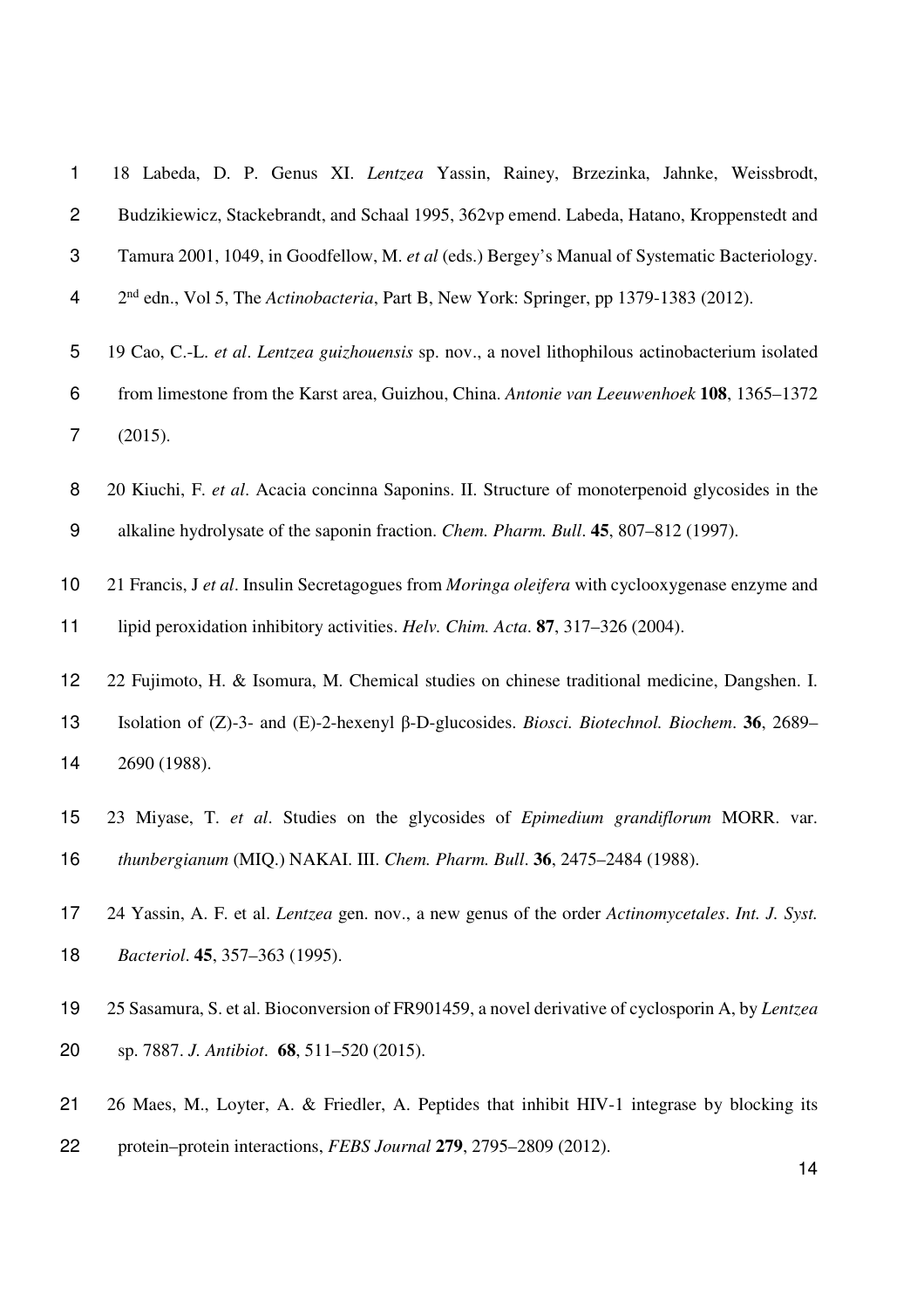| 1              | 18 Labeda, D. P. Genus XI. Lentzea Yassin, Rainey, Brzezinka, Jahnke, Weissbrodt,                                |  |  |  |  |  |  |  |  |
|----------------|------------------------------------------------------------------------------------------------------------------|--|--|--|--|--|--|--|--|
| $\overline{c}$ | Budzikiewicz, Stackebrandt, and Schaal 1995, 362vp emend. Labeda, Hatano, Kroppenstedt and                       |  |  |  |  |  |  |  |  |
| 3              | Tamura 2001, 1049, in Goodfellow, M. et al (eds.) Bergey's Manual of Systematic Bacteriology.                    |  |  |  |  |  |  |  |  |
| 4              | 2 <sup>nd</sup> edn., Vol 5, The Actinobacteria, Part B, New York: Springer, pp 1379-1383 (2012).                |  |  |  |  |  |  |  |  |
| 5              | 19 Cao, C.-L. et al. Lentzea guizhouensis sp. nov., a novel lithophilous actinobacterium isolated                |  |  |  |  |  |  |  |  |
| $\,6$          | from limestone from the Karst area, Guizhou, China. Antonie van Leeuwenhoek 108, 1365-1372                       |  |  |  |  |  |  |  |  |
| $\overline{7}$ | (2015).                                                                                                          |  |  |  |  |  |  |  |  |
| 8              | 20 Kiuchi, F. et al. Acacia concinna Saponins. II. Structure of monoterpenoid glycosides in the                  |  |  |  |  |  |  |  |  |
| 9              | alkaline hydrolysate of the saponin fraction. Chem. Pharm. Bull. 45, 807–812 (1997).                             |  |  |  |  |  |  |  |  |
| 10             | 21 Francis, J et al. Insulin Secretagogues from Moringa oleifera with cyclooxygenase enzyme and                  |  |  |  |  |  |  |  |  |
| 11             | lipid peroxidation inhibitory activities. Helv. Chim. Acta. 87, 317–326 (2004).                                  |  |  |  |  |  |  |  |  |
| 12             | 22 Fujimoto, H. & Isomura, M. Chemical studies on chinese traditional medicine, Dangshen. I.                     |  |  |  |  |  |  |  |  |
| 13             | Isolation of $(Z)$ -3- and $(E)$ -2-hexenyl $\beta$ -D-glucosides. <i>Biosci. Biotechnol. Biochem.</i> 36, 2689– |  |  |  |  |  |  |  |  |
| 14             | 2690 (1988).                                                                                                     |  |  |  |  |  |  |  |  |
| 15             | 23 Miyase, T. et al. Studies on the glycosides of Epimedium grandiflorum MORR. var.                              |  |  |  |  |  |  |  |  |
| 16             | thunbergianum (MIQ.) NAKAI. III. Chem. Pharm. Bull. 36, 2475-2484 (1988).                                        |  |  |  |  |  |  |  |  |
| 17             | 24 Yassin, A. F. et al. Lentzea gen. nov., a new genus of the order Actinomycetales. Int. J. Syst.               |  |  |  |  |  |  |  |  |
| 18             | Bacteriol. 45, 357-363 (1995).                                                                                   |  |  |  |  |  |  |  |  |
| 19             | 25 Sasamura, S. et al. Bioconversion of FR901459, a novel derivative of cyclosporin A, by Lentzea                |  |  |  |  |  |  |  |  |
| 20             | sp. 7887. J. Antibiot. 68, 511-520 (2015).                                                                       |  |  |  |  |  |  |  |  |
| 21             | 26 Maes, M., Loyter, A. & Friedler, A. Peptides that inhibit HIV-1 integrase by blocking its                     |  |  |  |  |  |  |  |  |
| 22             | protein–protein interactions, FEBS Journal 279, 2795–2809 (2012).<br>14                                          |  |  |  |  |  |  |  |  |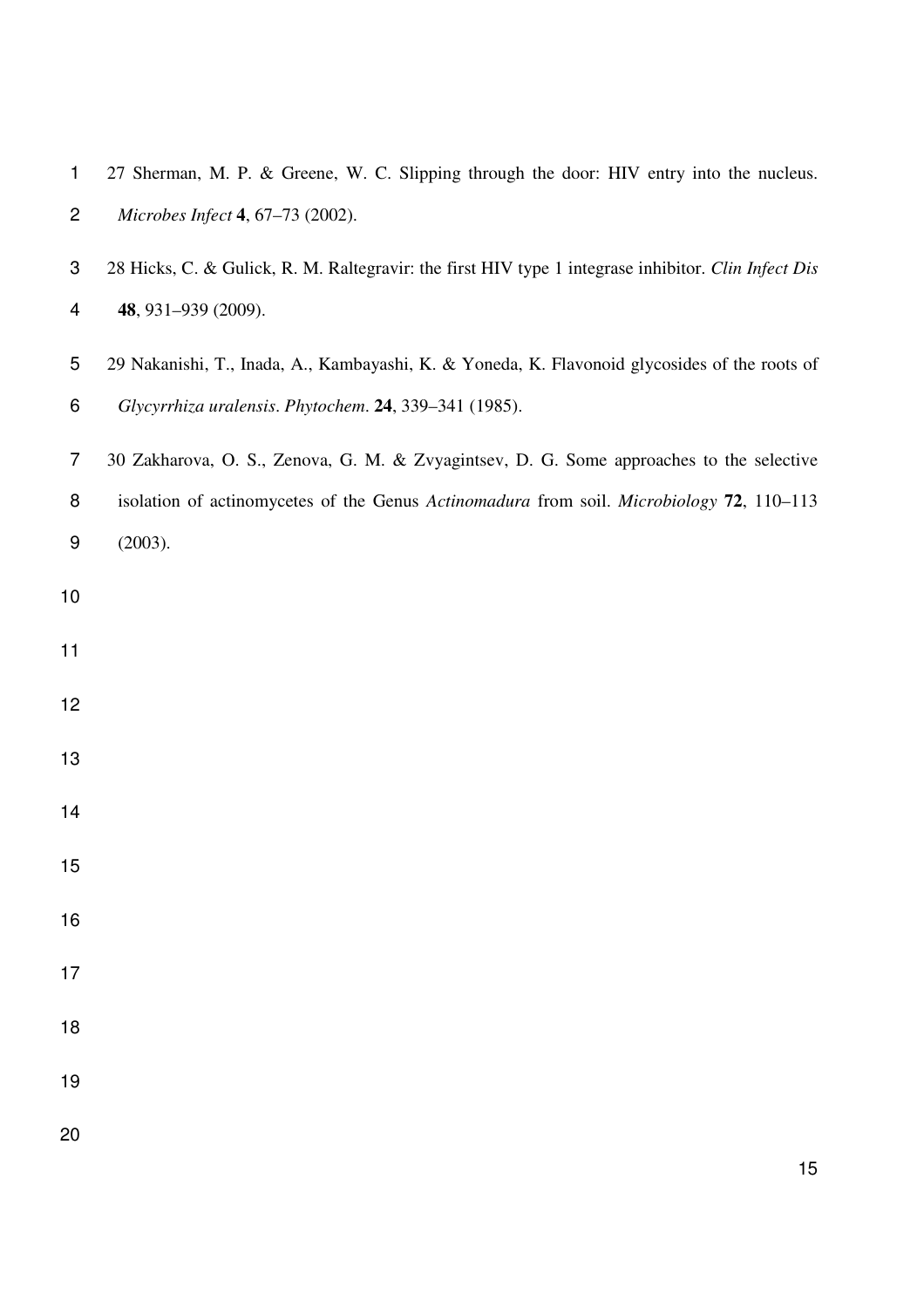| 1              | 27 Sherman, M. P. & Greene, W. C. Slipping through the door: HIV entry into the nucleus.            |
|----------------|-----------------------------------------------------------------------------------------------------|
| $\overline{c}$ | Microbes Infect 4, 67-73 (2002).                                                                    |
| 3              | 28 Hicks, C. & Gulick, R. M. Raltegravir: the first HIV type 1 integrase inhibitor. Clin Infect Dis |
| 4              | 48, 931-939 (2009).                                                                                 |
| 5              | 29 Nakanishi, T., Inada, A., Kambayashi, K. & Yoneda, K. Flavonoid glycosides of the roots of       |
| 6              | Glycyrrhiza uralensis. Phytochem. 24, 339-341 (1985).                                               |
| $\overline{7}$ | 30 Zakharova, O. S., Zenova, G. M. & Zvyagintsev, D. G. Some approaches to the selective            |
| 8              | isolation of actinomycetes of the Genus Actinomadura from soil. Microbiology 72, 110-113            |
| 9              | (2003).                                                                                             |
| 10             |                                                                                                     |
| 11             |                                                                                                     |
| 12             |                                                                                                     |
| 13             |                                                                                                     |
| 14             |                                                                                                     |
| 15             |                                                                                                     |
| 16             |                                                                                                     |
| 17             |                                                                                                     |
| 18             |                                                                                                     |
| 19             |                                                                                                     |
| 20             |                                                                                                     |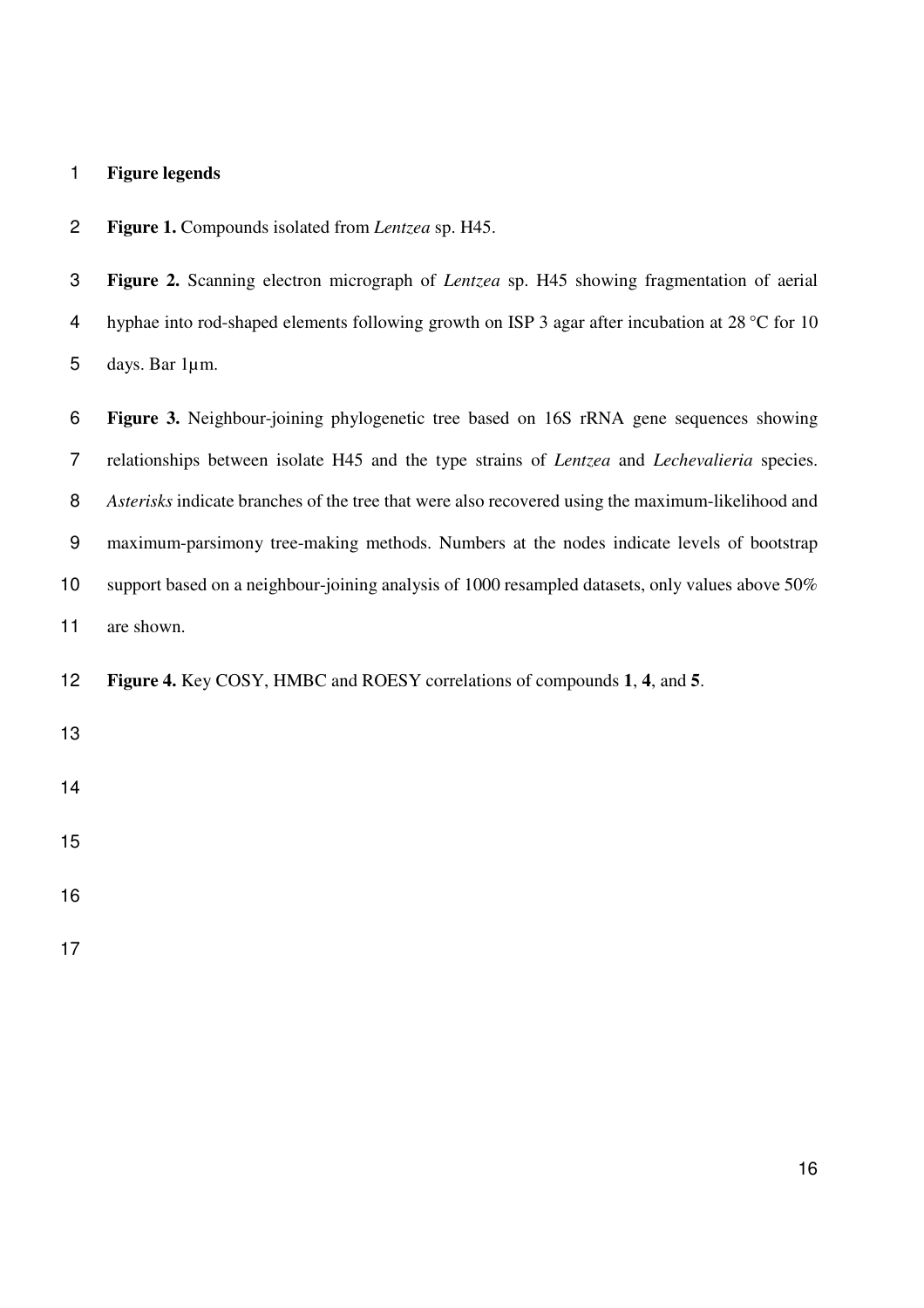## **Figure legends**

**Figure 1.** Compounds isolated from *Lentzea* sp. H45.

| 4               | hyphae into rod-shaped elements following growth on ISP 3 agar after incubation at 28 °C for 10            |
|-----------------|------------------------------------------------------------------------------------------------------------|
| 5               | days. Bar 1µm.                                                                                             |
| 6               | Figure 3. Neighbour-joining phylogenetic tree based on 16S rRNA gene sequences showing                     |
| 7               | relationships between isolate H45 and the type strains of <i>Lentzea</i> and <i>Lechevalieria</i> species. |
| 8               | Asterisks indicate branches of the tree that were also recovered using the maximum-likelihood and          |
| 9               | maximum-parsimony tree-making methods. Numbers at the nodes indicate levels of bootstrap                   |
| 10 <sub>1</sub> | support based on a neighbour-joining analysis of 1000 resampled datasets, only values above 50%            |
| 11              | are shown.                                                                                                 |
| 12              | Figure 4. Key COSY, HMBC and ROESY correlations of compounds 1, 4, and 5.                                  |
| 13              |                                                                                                            |
| 14              |                                                                                                            |
| 15              |                                                                                                            |

**Figure 2.** Scanning electron micrograph of *Lentzea* sp. H45 showing fragmentation of aerial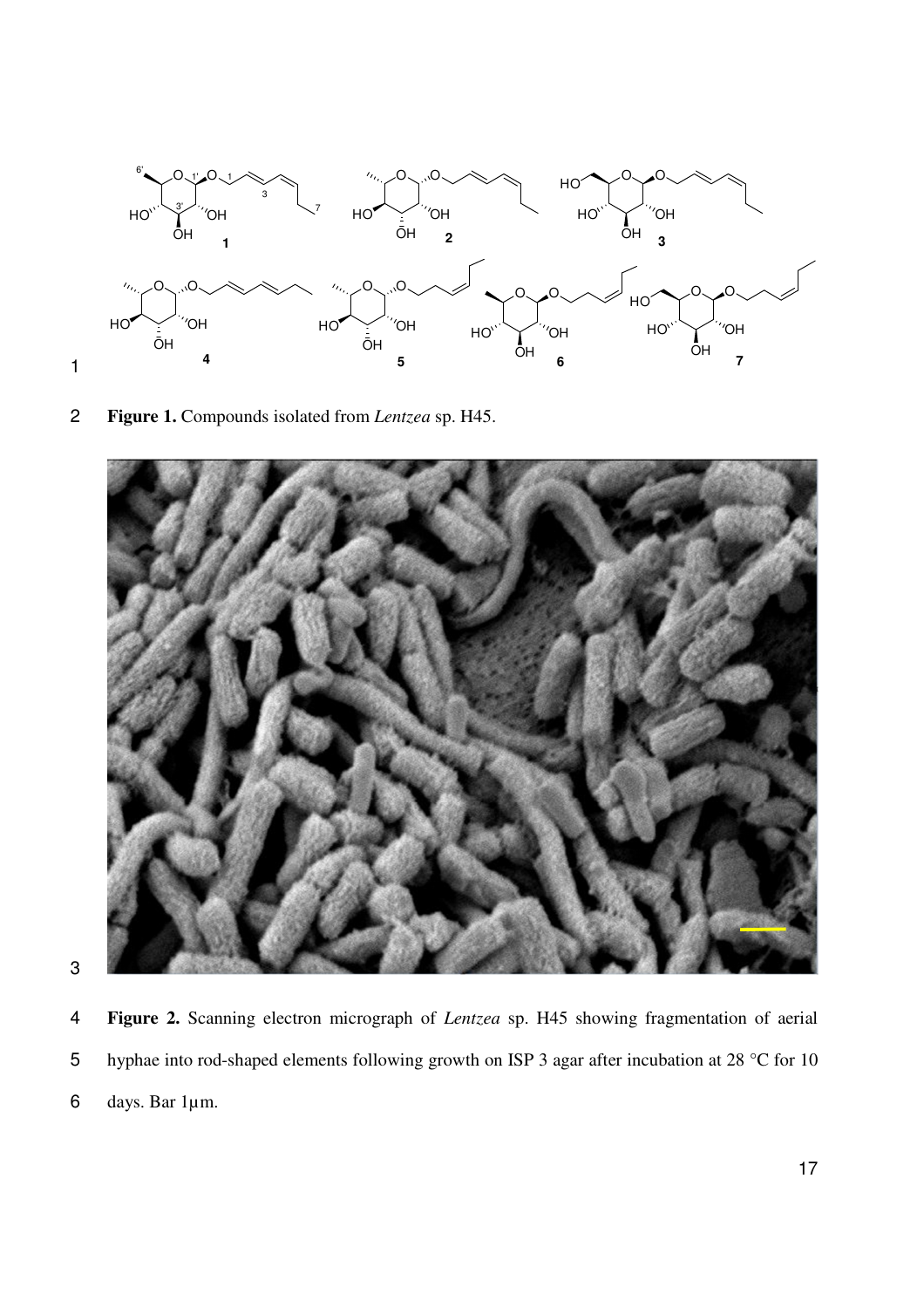

2 **Figure 1.** Compounds isolated from *Lentzea* sp. H45.





4 **Figure 2.** Scanning electron micrograph of *Lentzea* sp. H45 showing fragmentation of aerial 5 hyphae into rod-shaped elements following growth on ISP 3 agar after incubation at 28 °C for 10 6 days. Bar 1µm.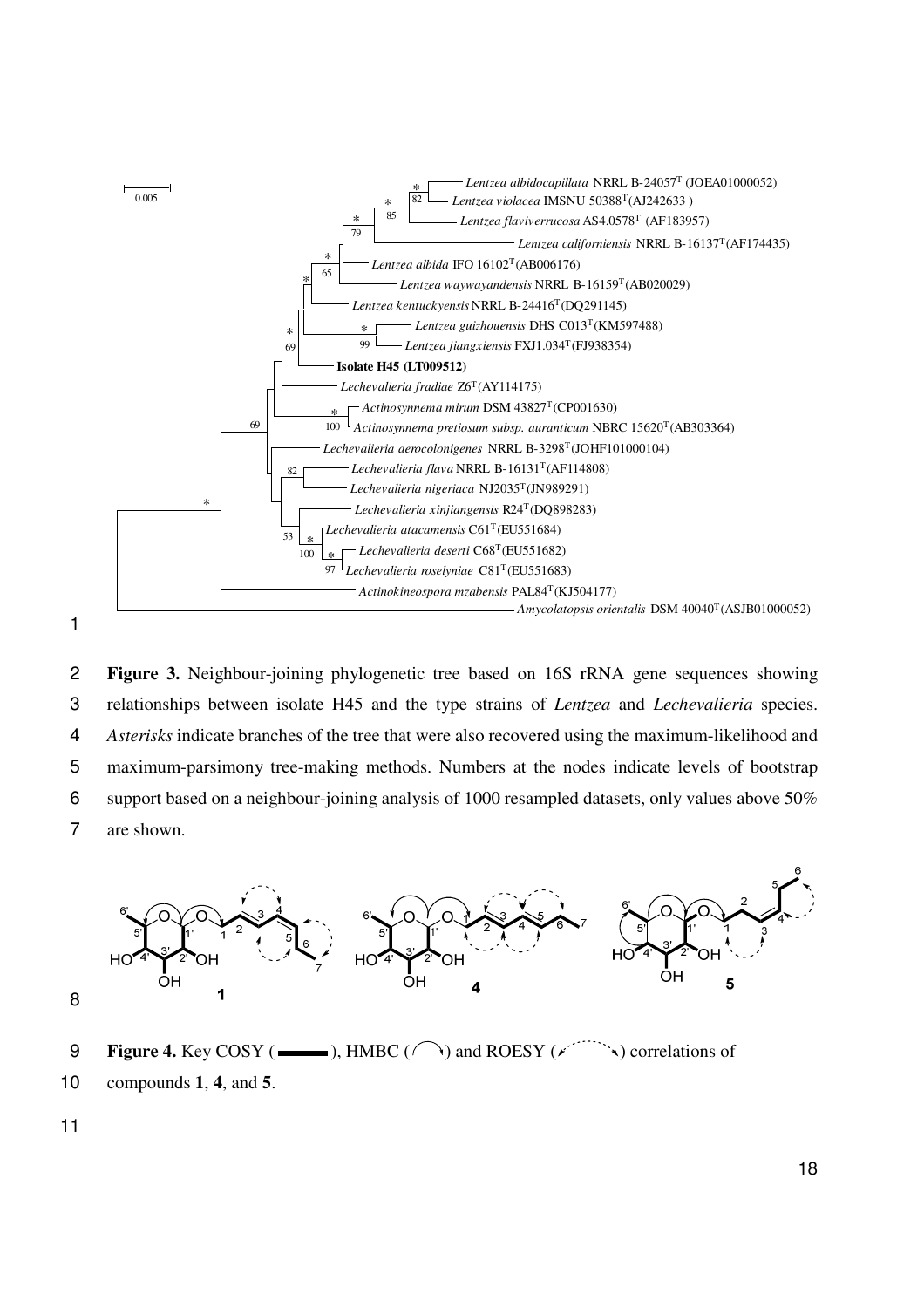

**Figure 3.** Neighbour-joining phylogenetic tree based on 16S rRNA gene sequences showing relationships between isolate H45 and the type strains of *Lentzea* and *Lechevalieria* species. *Asterisks* indicate branches of the tree that were also recovered using the maximum-likelihood and maximum-parsimony tree-making methods. Numbers at the nodes indicate levels of bootstrap support based on a neighbour-joining analysis of 1000 resampled datasets, only values above 50% are shown.



- 9 **Figure 4.** Key COSY ( $\longrightarrow$ ), HMBC ( $\cap$ ) and ROESY ( $\checkmark$ ) correlations of
- 10 compounds **1**, **4**, and **5**.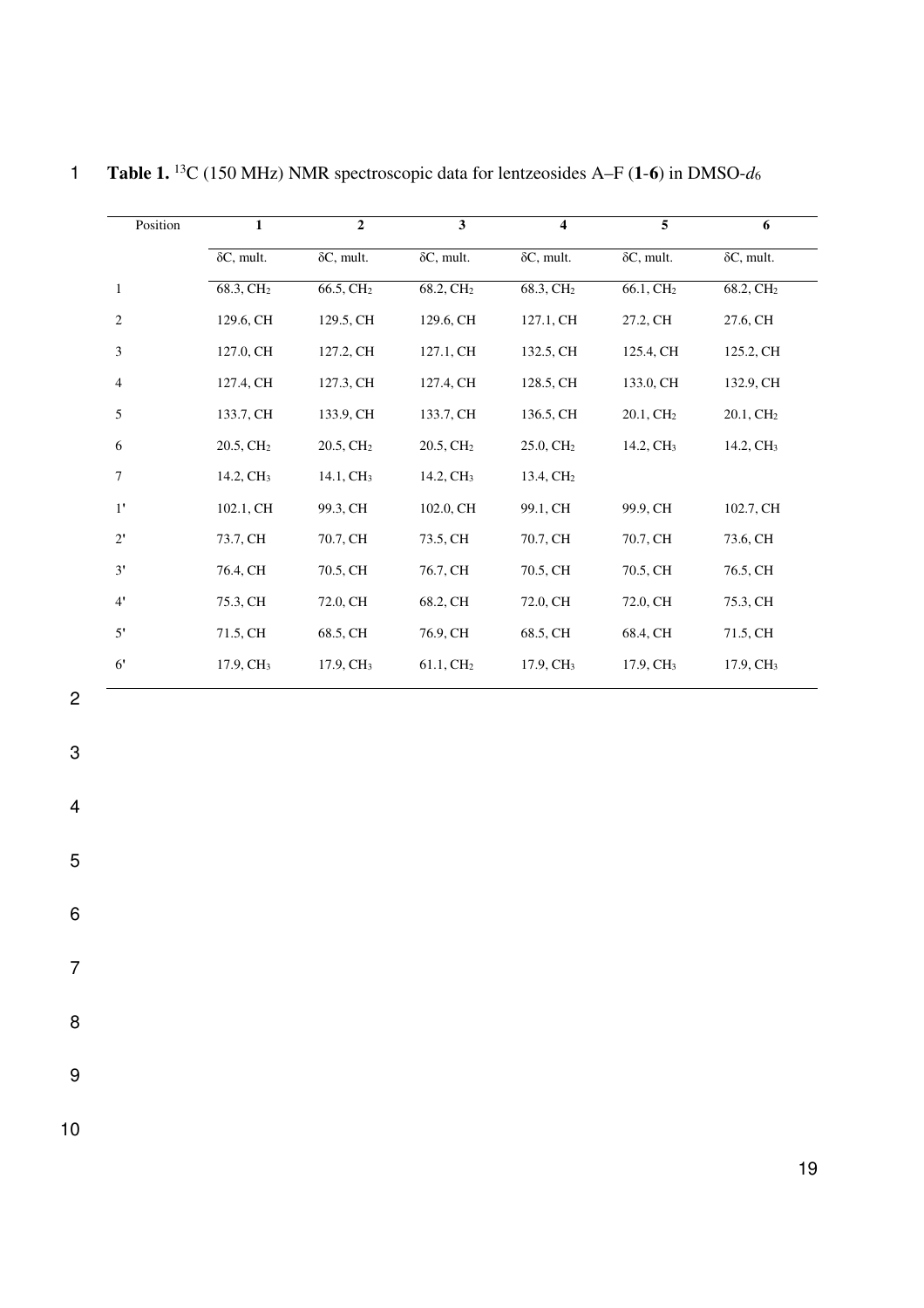| Position       | $\mathbf{1}$          | $\overline{2}$        | $\overline{\mathbf{3}}$ | $\overline{\mathbf{4}}$ | 5                     | 6                     |
|----------------|-----------------------|-----------------------|-------------------------|-------------------------|-----------------------|-----------------------|
|                | $\delta C$ , mult.    | $\delta C$ , mult.    | $\delta C$ , mult.      | $\delta C$ , mult.      | $\delta C$ , mult.    | $\delta C$ , mult.    |
| $\mathbf{1}$   | 68.3, CH <sub>2</sub> | 66.5, CH <sub>2</sub> | 68.2, CH <sub>2</sub>   | 68.3, CH <sub>2</sub>   | 66.1, CH <sub>2</sub> | 68.2, CH <sub>2</sub> |
| 2              | 129.6, CH             | 129.5, CH             | 129.6, CH               | 127.1, CH               | 27.2, CH              | 27.6, CH              |
| 3              | 127.0, CH             | 127.2, CH             | 127.1, CH               | 132.5, CH               | 125.4, CH             | 125.2, CH             |
| $\overline{4}$ | 127.4, CH             | 127.3, CH             | 127.4, CH               | 128.5, CH               | 133.0, CH             | 132.9, CH             |
| 5              | 133.7, CH             | 133.9, CH             | 133.7, CH               | 136.5, CH               | 20.1, CH <sub>2</sub> | 20.1, CH <sub>2</sub> |
| 6              | 20.5, CH <sub>2</sub> | 20.5, CH <sub>2</sub> | 20.5, CH <sub>2</sub>   | 25.0, CH <sub>2</sub>   | 14.2, CH <sub>3</sub> | 14.2, CH <sub>3</sub> |
| 7              | 14.2, CH <sub>3</sub> | 14.1, CH <sub>3</sub> | 14.2, CH <sub>3</sub>   | 13.4, CH <sub>2</sub>   |                       |                       |
| $1^{\prime}$   | 102.1, CH             | 99.3, CH              | 102.0, CH               | 99.1, CH                | 99.9, CH              | 102.7, CH             |
| $2^{\prime}$   | 73.7, CH              | 70.7, CH              | 73.5, CH                | 70.7, CH                | 70.7, CH              | 73.6, CH              |
| 3'             | 76.4, CH              | 70.5, CH              | 76.7, CH                | 70.5, CH                | 70.5, CH              | 76.5, CH              |
| $4^{\prime}$   | 75.3, CH              | 72.0, CH              | 68.2, CH                | 72.0, CH                | 72.0, CH              | 75.3, CH              |
| 5'             | 71.5, CH              | 68.5, CH              | 76.9, CH                | 68.5, CH                | 68.4, CH              | 71.5, CH              |
| 6'             | 17.9, CH <sub>3</sub> | 17.9, CH <sub>3</sub> | 61.1, CH <sub>2</sub>   | 17.9, CH <sub>3</sub>   | 17.9, CH <sub>3</sub> | 17.9, CH <sub>3</sub> |
|                |                       |                       |                         |                         |                       |                       |

**Table 1.** <sup>13</sup>C (150 MHz) NMR spectroscopic data for lentzeosides A–F (1-6) in DMSO- $d_6$